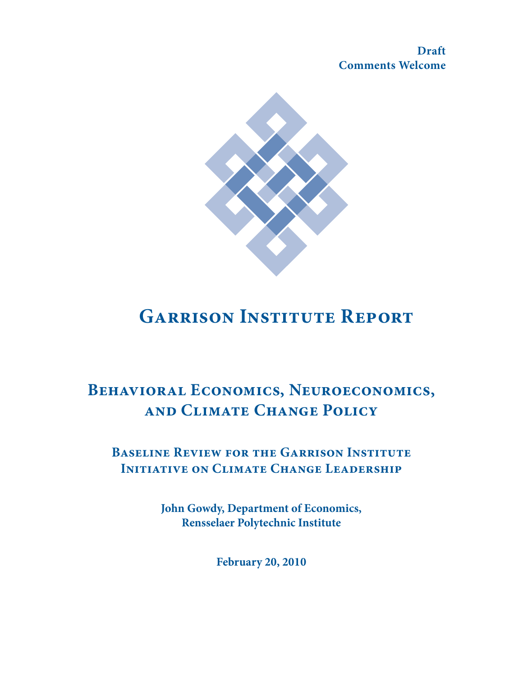**Draft Comments Welcome**



# **GARRISON INSTITUTE REPORT**

# **Behavioral Economics, Neuroeconomics, and Climate Change Policy**

### **Baseline Review for the Garrison Institute Initiative on Climate Change Leadership**

**John Gowdy, Department of Economics, Rensselaer Polytechnic Institute**

**February 20, 2010**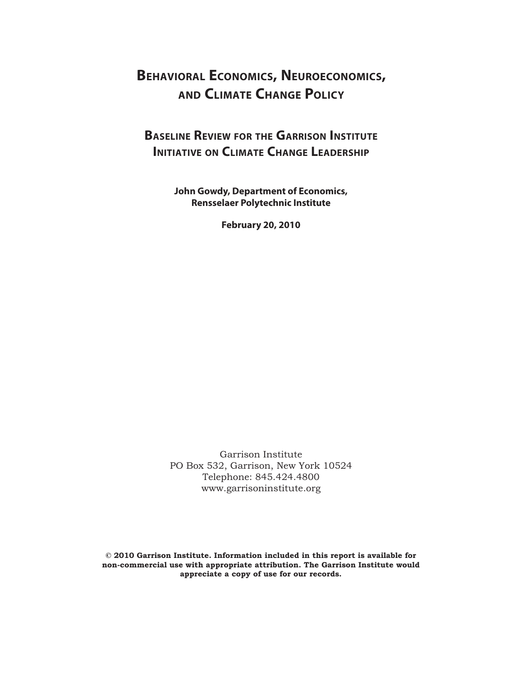### **BEHAVIORAL ECONOMICS, NEUROECONOMICS, AND CLIMATE CHANGE POLICY**

### **BASELINE REVIEW FOR THE GARRISON INSTITUTE INITIATIVE ON CLIMATE CHANGE LEADERSHIP**

**John Gowdy, Department of Economics, Rensselaer Polytechnic Institute**

**February 20, 2010**

Garrison Institute PO Box 532, Garrison, New York 10524 Telephone: 845.424.4800 www.garrisoninstitute.org

**© 2010 Garrison Institute. Information included in this report is available for non-commercial use with appropriate attribution. The Garrison Institute would appreciate a copy of use for our records.**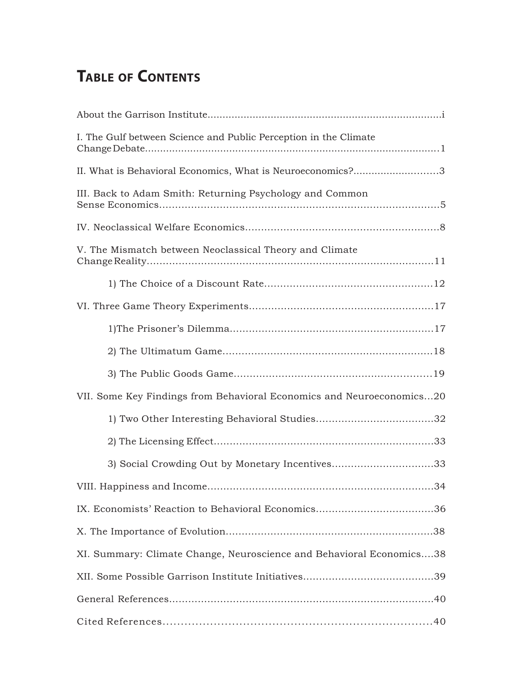# **TABLE OF CONTENTS**

| I. The Gulf between Science and Public Perception in the Climate      |
|-----------------------------------------------------------------------|
| II. What is Behavioral Economics, What is Neuroeconomics?3            |
| III. Back to Adam Smith: Returning Psychology and Common              |
|                                                                       |
| V. The Mismatch between Neoclassical Theory and Climate               |
|                                                                       |
|                                                                       |
|                                                                       |
|                                                                       |
|                                                                       |
| VII. Some Key Findings from Behavioral Economics and Neuroeconomics20 |
|                                                                       |
|                                                                       |
| 3) Social Crowding Out by Monetary Incentives33                       |
|                                                                       |
| IX. Economists' Reaction to Behavioral Economics36                    |
|                                                                       |
| XI. Summary: Climate Change, Neuroscience and Behavioral Economics38  |
|                                                                       |
|                                                                       |
|                                                                       |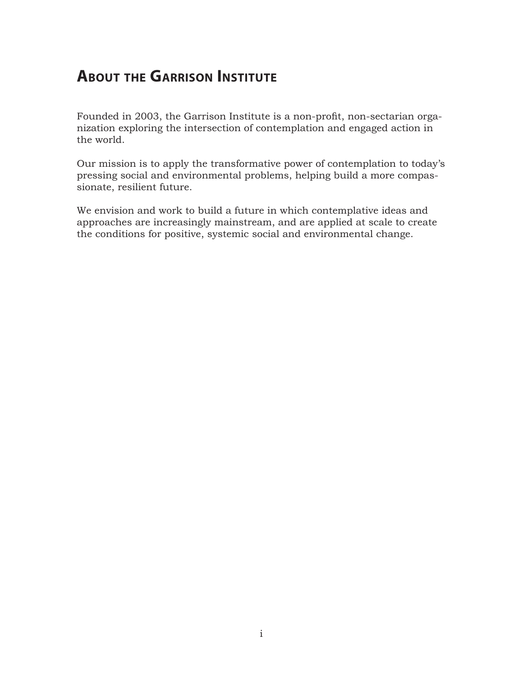### **ABOUT THE GARRISON INSTITUTE**

Founded in 2003, the Garrison Institute is a non-profit, non-sectarian organization exploring the intersection of contemplation and engaged action in the world.

Our mission is to apply the transformative power of contemplation to today's pressing social and environmental problems, helping build a more compassionate, resilient future.

We envision and work to build a future in which contemplative ideas and approaches are increasingly mainstream, and are applied at scale to create the conditions for positive, systemic social and environmental change.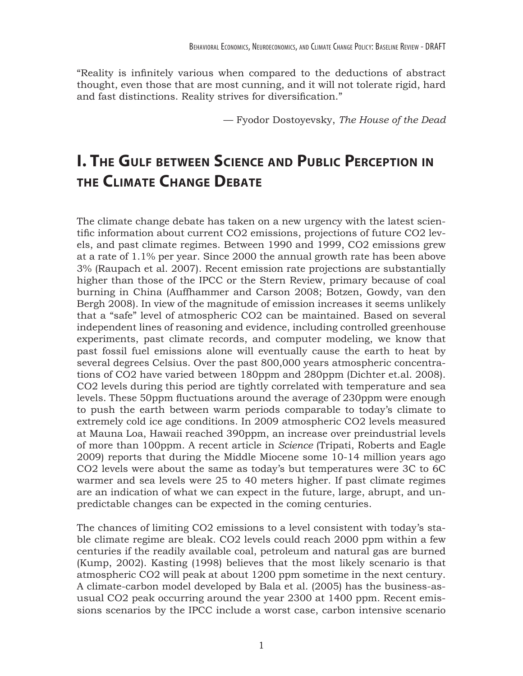"Reality is infinitely various when compared to the deductions of abstract thought, even those that are most cunning, and it will not tolerate rigid, hard and fast distinctions. Reality strives for diversification."

— Fyodor Dostoyevsky, *The House of the Dead*

# **I. THE GULF BETWEEN SCIENCE AND PUBLIC PERCEPTION IN THE CLIMATE CHANGE DEBATE**

The climate change debate has taken on a new urgency with the latest scientific information about current CO2 emissions, projections of future CO2 levels, and past climate regimes. Between 1990 and 1999, CO2 emissions grew at a rate of 1.1% per year. Since 2000 the annual growth rate has been above 3% (Raupach et al. 2007). Recent emission rate projections are substantially higher than those of the IPCC or the Stern Review, primary because of coal burning in China (Auffhammer and Carson 2008; Botzen, Gowdy, van den Bergh 2008). In view of the magnitude of emission increases it seems unlikely that a "safe" level of atmospheric CO2 can be maintained. Based on several independent lines of reasoning and evidence, including controlled greenhouse experiments, past climate records, and computer modeling, we know that past fossil fuel emissions alone will eventually cause the earth to heat by several degrees Celsius. Over the past 800,000 years atmospheric concentrations of CO2 have varied between 180ppm and 280ppm (Dichter et.al. 2008). CO2 levels during this period are tightly correlated with temperature and sea levels. These 50ppm fluctuations around the average of 230ppm were enough to push the earth between warm periods comparable to today's climate to extremely cold ice age conditions. In 2009 atmospheric CO2 levels measured at Mauna Loa, Hawaii reached 390ppm, an increase over preindustrial levels of more than 100ppm. A recent article in *Science* (Tripati, Roberts and Eagle 2009) reports that during the Middle Miocene some 10-14 million years ago CO2 levels were about the same as today's but temperatures were 3C to 6C warmer and sea levels were 25 to 40 meters higher. If past climate regimes are an indication of what we can expect in the future, large, abrupt, and unpredictable changes can be expected in the coming centuries.

The chances of limiting CO2 emissions to a level consistent with today's stable climate regime are bleak. CO2 levels could reach 2000 ppm within a few centuries if the readily available coal, petroleum and natural gas are burned (Kump, 2002). Kasting (1998) believes that the most likely scenario is that atmospheric CO2 will peak at about 1200 ppm sometime in the next century. A climate-carbon model developed by Bala et al. (2005) has the business-asusual CO2 peak occurring around the year 2300 at 1400 ppm. Recent emissions scenarios by the IPCC include a worst case, carbon intensive scenario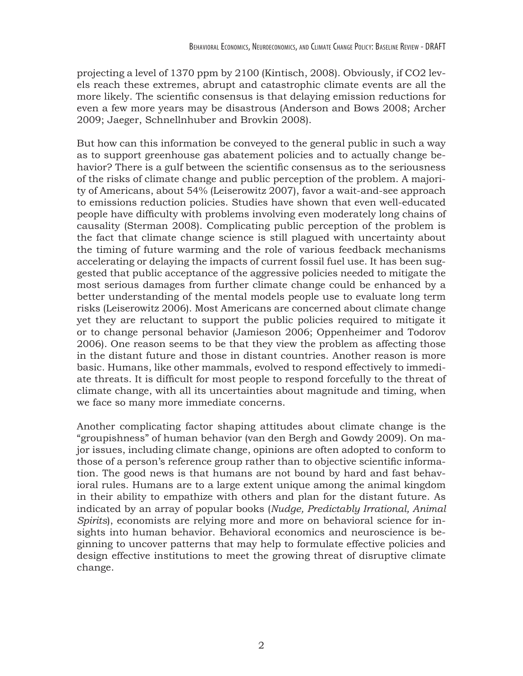projecting a level of 1370 ppm by 2100 (Kintisch, 2008). Obviously, if CO2 levels reach these extremes, abrupt and catastrophic climate events are all the more likely. The scientific consensus is that delaying emission reductions for even a few more years may be disastrous (Anderson and Bows 2008; Archer 2009; Jaeger, Schnellnhuber and Brovkin 2008).

But how can this information be conveyed to the general public in such a way as to support greenhouse gas abatement policies and to actually change behavior? There is a gulf between the scientific consensus as to the seriousness of the risks of climate change and public perception of the problem. A majority of Americans, about 54% (Leiserowitz 2007), favor a wait-and-see approach to emissions reduction policies. Studies have shown that even well-educated people have difficulty with problems involving even moderately long chains of causality (Sterman 2008). Complicating public perception of the problem is the fact that climate change science is still plagued with uncertainty about the timing of future warming and the role of various feedback mechanisms accelerating or delaying the impacts of current fossil fuel use. It has been suggested that public acceptance of the aggressive policies needed to mitigate the most serious damages from further climate change could be enhanced by a better understanding of the mental models people use to evaluate long term risks (Leiserowitz 2006). Most Americans are concerned about climate change yet they are reluctant to support the public policies required to mitigate it or to change personal behavior (Jamieson 2006; Oppenheimer and Todorov 2006). One reason seems to be that they view the problem as affecting those in the distant future and those in distant countries. Another reason is more basic. Humans, like other mammals, evolved to respond effectively to immediate threats. It is difficult for most people to respond forcefully to the threat of climate change, with all its uncertainties about magnitude and timing, when we face so many more immediate concerns.

Another complicating factor shaping attitudes about climate change is the "groupishness" of human behavior (van den Bergh and Gowdy 2009). On major issues, including climate change, opinions are often adopted to conform to those of a person's reference group rather than to objective scientific information. The good news is that humans are not bound by hard and fast behavioral rules. Humans are to a large extent unique among the animal kingdom in their ability to empathize with others and plan for the distant future. As indicated by an array of popular books (*Nudge, Predictably Irrational, Animal Spirits*), economists are relying more and more on behavioral science for insights into human behavior. Behavioral economics and neuroscience is beginning to uncover patterns that may help to formulate effective policies and design effective institutions to meet the growing threat of disruptive climate change.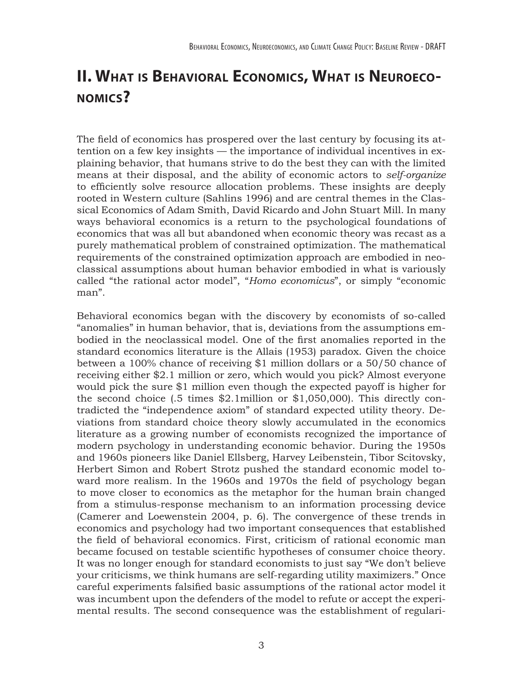# **II. WHAT IS BEHAVIORAL ECONOMICS, WHAT IS NEUROECO-NOMICS?**

The field of economics has prospered over the last century by focusing its attention on a few key insights — the importance of individual incentives in explaining behavior, that humans strive to do the best they can with the limited means at their disposal, and the ability of economic actors to *self-organize* to efficiently solve resource allocation problems. These insights are deeply rooted in Western culture (Sahlins 1996) and are central themes in the Classical Economics of Adam Smith, David Ricardo and John Stuart Mill. In many ways behavioral economics is a return to the psychological foundations of economics that was all but abandoned when economic theory was recast as a purely mathematical problem of constrained optimization. The mathematical requirements of the constrained optimization approach are embodied in neoclassical assumptions about human behavior embodied in what is variously called "the rational actor model", "*Homo economicus*", or simply "economic man".

Behavioral economics began with the discovery by economists of so-called "anomalies" in human behavior, that is, deviations from the assumptions embodied in the neoclassical model. One of the first anomalies reported in the standard economics literature is the Allais (1953) paradox. Given the choice between a 100% chance of receiving \$1 million dollars or a 50/50 chance of receiving either \$2.1 million or zero, which would you pick? Almost everyone would pick the sure \$1 million even though the expected payoff is higher for the second choice (.5 times \$2.1million or \$1,050,000). This directly contradicted the "independence axiom" of standard expected utility theory. Deviations from standard choice theory slowly accumulated in the economics literature as a growing number of economists recognized the importance of modern psychology in understanding economic behavior. During the 1950s and 1960s pioneers like Daniel Ellsberg, Harvey Leibenstein, Tibor Scitovsky, Herbert Simon and Robert Strotz pushed the standard economic model toward more realism. In the 1960s and 1970s the field of psychology began to move closer to economics as the metaphor for the human brain changed from a stimulus-response mechanism to an information processing device (Camerer and Loewenstein 2004, p. 6). The convergence of these trends in economics and psychology had two important consequences that established the field of behavioral economics. First, criticism of rational economic man became focused on testable scientific hypotheses of consumer choice theory. It was no longer enough for standard economists to just say "We don't believe your criticisms, we think humans are self-regarding utility maximizers." Once careful experiments falsified basic assumptions of the rational actor model it was incumbent upon the defenders of the model to refute or accept the experimental results. The second consequence was the establishment of regulari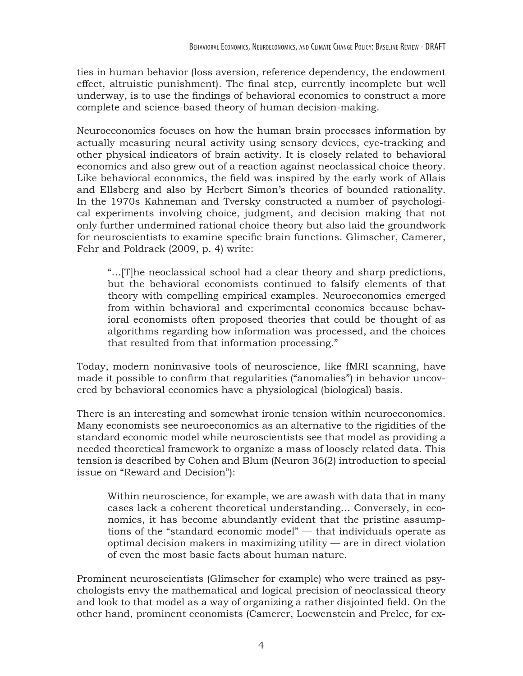ties in human behavior (loss aversion, reference dependency, the endowment effect, altruistic punishment). The final step, currently incomplete but well underway, is to use the findings of behavioral economics to construct a more complete and science-based theory of human decision-making.

Neuroeconomics focuses on how the human brain processes information by actually measuring neural activity using sensory devices, eye-tracking and other physical indicators of brain activity. It is closely related to behavioral economics and also grew out of a reaction against neoclassical choice theory. Like behavioral economics, the field was inspired by the early work of Allais and Ellsberg and also by Herbert Simon's theories of bounded rationality. In the 1970s Kahneman and Tversky constructed a number of psychological experiments involving choice, judgment, and decision making that not only further undermined rational choice theory but also laid the groundwork for neuroscientists to examine specific brain functions. Glimscher, Camerer, Fehr and Poldrack (2009, p. 4) write:

"…[T]he neoclassical school had a clear theory and sharp predictions, but the behavioral economists continued to falsify elements of that theory with compelling empirical examples. Neuroeconomics emerged from within behavioral and experimental economics because behavioral economists often proposed theories that could be thought of as algorithms regarding how information was processed, and the choices that resulted from that information processing."

Today, modern noninvasive tools of neuroscience, like fMRI scanning, have made it possible to confirm that regularities ("anomalies") in behavior uncovered by behavioral economics have a physiological (biological) basis.

There is an interesting and somewhat ironic tension within neuroeconomics. Many economists see neuroeconomics as an alternative to the rigidities of the standard economic model while neuroscientists see that model as providing a needed theoretical framework to organize a mass of loosely related data. This tension is described by Cohen and Blum (Neuron 36(2) introduction to special issue on "Reward and Decision"):

Within neuroscience, for example, we are awash with data that in many cases lack a coherent theoretical understanding… Conversely, in economics, it has become abundantly evident that the pristine assumptions of the "standard economic model" — that individuals operate as optimal decision makers in maximizing utility — are in direct violation of even the most basic facts about human nature.

Prominent neuroscientists (Glimscher for example) who were trained as psychologists envy the mathematical and logical precision of neoclassical theory and look to that model as a way of organizing a rather disjointed field. On the other hand, prominent economists (Camerer, Loewenstein and Prelec, for ex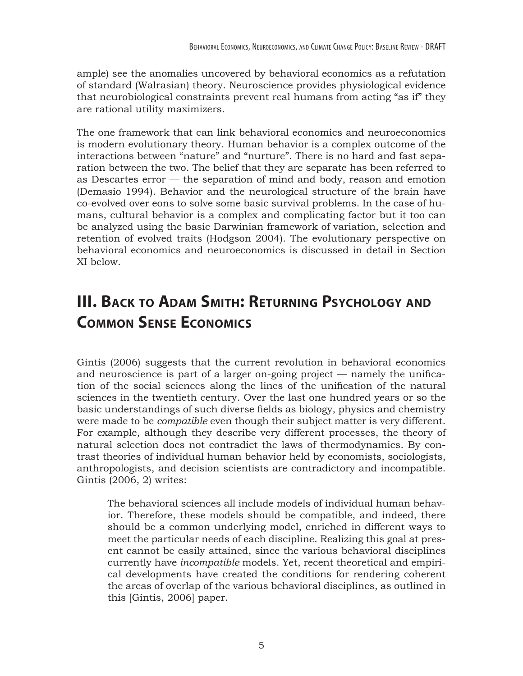ample) see the anomalies uncovered by behavioral economics as a refutation of standard (Walrasian) theory. Neuroscience provides physiological evidence that neurobiological constraints prevent real humans from acting "as if" they are rational utility maximizers.

The one framework that can link behavioral economics and neuroeconomics is modern evolutionary theory. Human behavior is a complex outcome of the interactions between "nature" and "nurture". There is no hard and fast separation between the two. The belief that they are separate has been referred to as Descartes error — the separation of mind and body, reason and emotion (Demasio 1994). Behavior and the neurological structure of the brain have co-evolved over eons to solve some basic survival problems. In the case of humans, cultural behavior is a complex and complicating factor but it too can be analyzed using the basic Darwinian framework of variation, selection and retention of evolved traits (Hodgson 2004). The evolutionary perspective on behavioral economics and neuroeconomics is discussed in detail in Section XI below.

## **III. BACK TO ADAM SMITH: RETURNING PSYCHOLOGY AND COMMON SENSE ECONOMICS**

Gintis (2006) suggests that the current revolution in behavioral economics and neuroscience is part of a larger on-going project  $-$  namely the unification of the social sciences along the lines of the unification of the natural sciences in the twentieth century. Over the last one hundred years or so the basic understandings of such diverse fields as biology, physics and chemistry were made to be *compatible* even though their subject matter is very different. For example, although they describe very different processes, the theory of natural selection does not contradict the laws of thermodynamics. By contrast theories of individual human behavior held by economists, sociologists, anthropologists, and decision scientists are contradictory and incompatible. Gintis (2006, 2) writes:

The behavioral sciences all include models of individual human behavior. Therefore, these models should be compatible, and indeed, there should be a common underlying model, enriched in different ways to meet the particular needs of each discipline. Realizing this goal at present cannot be easily attained, since the various behavioral disciplines currently have *incompatible* models. Yet, recent theoretical and empirical developments have created the conditions for rendering coherent the areas of overlap of the various behavioral disciplines, as outlined in this [Gintis, 2006] paper.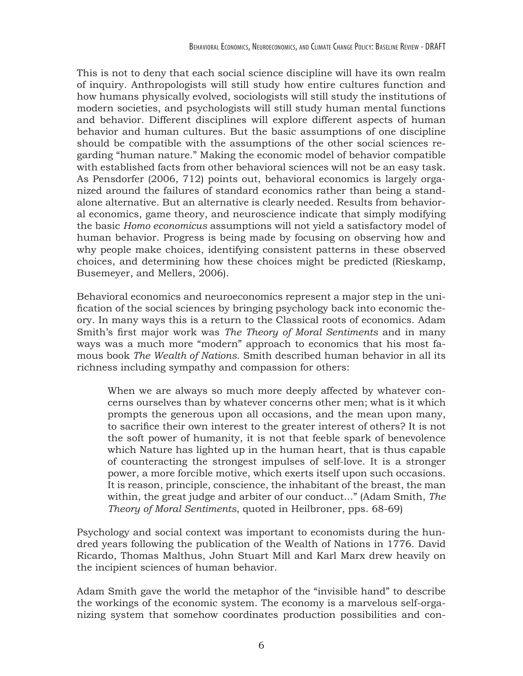This is not to deny that each social science discipline will have its own realm of inquiry. Anthropologists will still study how entire cultures function and how humans physically evolved, sociologists will still study the institutions of modern societies, and psychologists will still study human mental functions and behavior. Different disciplines will explore different aspects of human behavior and human cultures. But the basic assumptions of one discipline should be compatible with the assumptions of the other social sciences regarding "human nature." Making the economic model of behavior compatible with established facts from other behavioral sciences will not be an easy task. As Pensdorfer (2006, 712) points out, behavioral economics is largely organized around the failures of standard economics rather than being a standalone alternative. But an alternative is clearly needed. Results from behavioral economics, game theory, and neuroscience indicate that simply modifying the basic *Homo economicus* assumptions will not yield a satisfactory model of human behavior. Progress is being made by focusing on observing how and why people make choices, identifying consistent patterns in these observed choices, and determining how these choices might be predicted (Rieskamp, Busemeyer, and Mellers, 2006).

Behavioral economics and neuroeconomics represent a major step in the unification of the social sciences by bringing psychology back into economic theory. In many ways this is a return to the Classical roots of economics. Adam Smith's first major work was *The Theory of Moral Sentiments* and in many ways was a much more "modern" approach to economics that his most famous book *The Wealth of Nations*. Smith described human behavior in all its richness including sympathy and compassion for others:

When we are always so much more deeply affected by whatever concerns ourselves than by whatever concerns other men; what is it which prompts the generous upon all occasions, and the mean upon many, to sacrifice their own interest to the greater interest of others? It is not the soft power of humanity, it is not that feeble spark of benevolence which Nature has lighted up in the human heart, that is thus capable of counteracting the strongest impulses of self-love. It is a stronger power, a more forcible motive, which exerts itself upon such occasions. It is reason, principle, conscience, the inhabitant of the breast, the man within, the great judge and arbiter of our conduct..." (Adam Smith, *The Theory of Moral Sentiments*, quoted in Heilbroner, pps. 68-69)

Psychology and social context was important to economists during the hundred years following the publication of the Wealth of Nations in 1776. David Ricardo, Thomas Malthus, John Stuart Mill and Karl Marx drew heavily on the incipient sciences of human behavior.

Adam Smith gave the world the metaphor of the "invisible hand" to describe the workings of the economic system. The economy is a marvelous self-organizing system that somehow coordinates production possibilities and con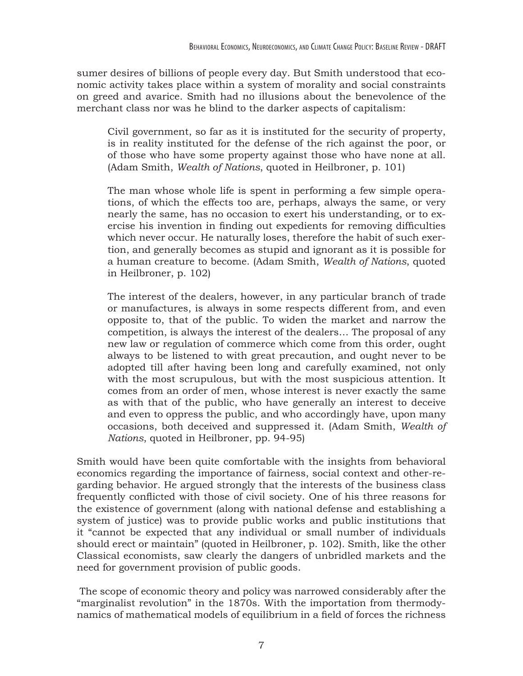sumer desires of billions of people every day. But Smith understood that economic activity takes place within a system of morality and social constraints on greed and avarice. Smith had no illusions about the benevolence of the merchant class nor was he blind to the darker aspects of capitalism:

Civil government, so far as it is instituted for the security of property, is in reality instituted for the defense of the rich against the poor, or of those who have some property against those who have none at all. (Adam Smith, *Wealth of Nations*, quoted in Heilbroner, p. 101)

The man whose whole life is spent in performing a few simple operations, of which the effects too are, perhaps, always the same, or very nearly the same, has no occasion to exert his understanding, or to exercise his invention in finding out expedients for removing difficulties which never occur. He naturally loses, therefore the habit of such exertion, and generally becomes as stupid and ignorant as it is possible for a human creature to become. (Adam Smith, *Wealth of Nations*, quoted in Heilbroner, p. 102)

The interest of the dealers, however, in any particular branch of trade or manufactures, is always in some respects different from, and even opposite to, that of the public. To widen the market and narrow the competition, is always the interest of the dealers… The proposal of any new law or regulation of commerce which come from this order, ought always to be listened to with great precaution, and ought never to be adopted till after having been long and carefully examined, not only with the most scrupulous, but with the most suspicious attention. It comes from an order of men, whose interest is never exactly the same as with that of the public, who have generally an interest to deceive and even to oppress the public, and who accordingly have, upon many occasions, both deceived and suppressed it. (Adam Smith, *Wealth of Nations*, quoted in Heilbroner, pp. 94-95)

Smith would have been quite comfortable with the insights from behavioral economics regarding the importance of fairness, social context and other-regarding behavior. He argued strongly that the interests of the business class frequently conflicted with those of civil society. One of his three reasons for the existence of government (along with national defense and establishing a system of justice) was to provide public works and public institutions that it "cannot be expected that any individual or small number of individuals should erect or maintain" (quoted in Heilbroner, p. 102). Smith, like the other Classical economists, saw clearly the dangers of unbridled markets and the need for government provision of public goods.

 The scope of economic theory and policy was narrowed considerably after the "marginalist revolution" in the 1870s. With the importation from thermodynamics of mathematical models of equilibrium in a field of forces the richness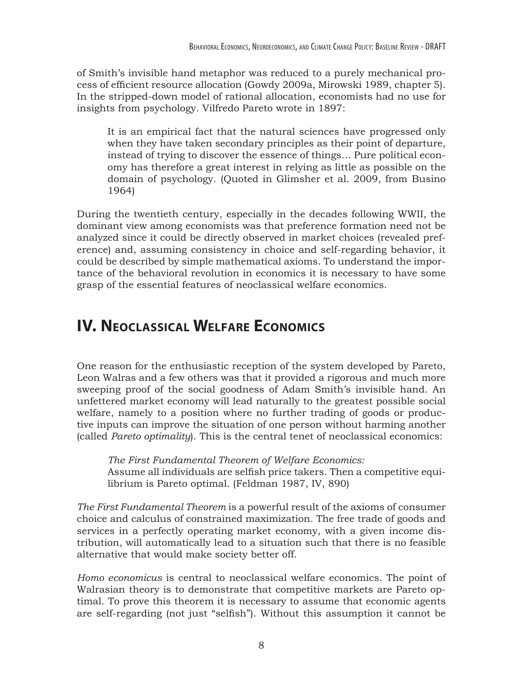of Smith's invisible hand metaphor was reduced to a purely mechanical process of efficient resource allocation (Gowdy 2009a, Mirowski 1989, chapter 5). In the stripped-down model of rational allocation, economists had no use for insights from psychology. Vilfredo Pareto wrote in 1897:

It is an empirical fact that the natural sciences have progressed only when they have taken secondary principles as their point of departure, instead of trying to discover the essence of things… Pure political economy has therefore a great interest in relying as little as possible on the domain of psychology. (Quoted in Glimsher et al. 2009, from Busino 1964)

During the twentieth century, especially in the decades following WWII, the dominant view among economists was that preference formation need not be analyzed since it could be directly observed in market choices (revealed preference) and, assuming consistency in choice and self-regarding behavior, it could be described by simple mathematical axioms. To understand the importance of the behavioral revolution in economics it is necessary to have some grasp of the essential features of neoclassical welfare economics.

# **IV. NEOCLASSICAL WELFARE ECONOMICS**

One reason for the enthusiastic reception of the system developed by Pareto, Leon Walras and a few others was that it provided a rigorous and much more sweeping proof of the social goodness of Adam Smith's invisible hand. An unfettered market economy will lead naturally to the greatest possible social welfare, namely to a position where no further trading of goods or productive inputs can improve the situation of one person without harming another (called *Pareto optimality*). This is the central tenet of neoclassical economics:

*The First Fundamental Theorem of Welfare Economics:* Assume all individuals are selfish price takers. Then a competitive equilibrium is Pareto optimal. (Feldman 1987, IV, 890)

*The First Fundamental Theorem* is a powerful result of the axioms of consumer choice and calculus of constrained maximization. The free trade of goods and services in a perfectly operating market economy, with a given income distribution, will automatically lead to a situation such that there is no feasible alternative that would make society better off.

*Homo economicus* is central to neoclassical welfare economics. The point of Walrasian theory is to demonstrate that competitive markets are Pareto optimal. To prove this theorem it is necessary to assume that economic agents are self-regarding (not just "selfish"). Without this assumption it cannot be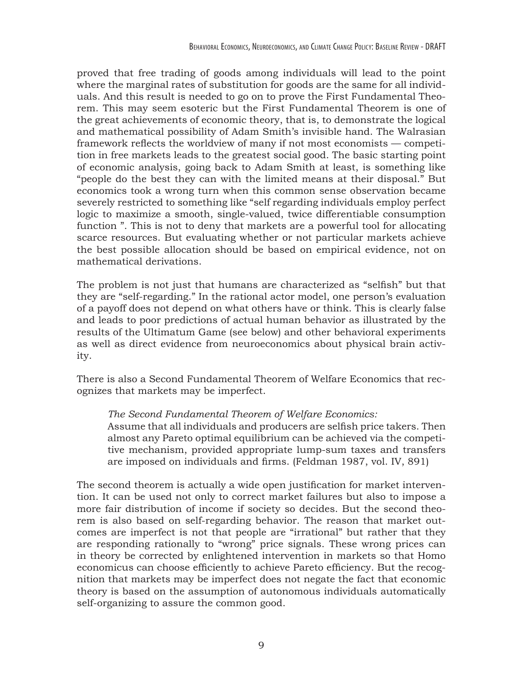proved that free trading of goods among individuals will lead to the point where the marginal rates of substitution for goods are the same for all individuals. And this result is needed to go on to prove the First Fundamental Theorem. This may seem esoteric but the First Fundamental Theorem is one of the great achievements of economic theory, that is, to demonstrate the logical and mathematical possibility of Adam Smith's invisible hand. The Walrasian framework reflects the worldview of many if not most economists — competition in free markets leads to the greatest social good. The basic starting point of economic analysis, going back to Adam Smith at least, is something like "people do the best they can with the limited means at their disposal." But economics took a wrong turn when this common sense observation became severely restricted to something like "self regarding individuals employ perfect logic to maximize a smooth, single-valued, twice differentiable consumption function ". This is not to deny that markets are a powerful tool for allocating scarce resources. But evaluating whether or not particular markets achieve the best possible allocation should be based on empirical evidence, not on mathematical derivations.

The problem is not just that humans are characterized as "selfish" but that they are "self-regarding." In the rational actor model, one person's evaluation of a payoff does not depend on what others have or think. This is clearly false and leads to poor predictions of actual human behavior as illustrated by the results of the Ultimatum Game (see below) and other behavioral experiments as well as direct evidence from neuroeconomics about physical brain activity.

There is also a Second Fundamental Theorem of Welfare Economics that recognizes that markets may be imperfect.

*The Second Fundamental Theorem of Welfare Economics:* Assume that all individuals and producers are selfish price takers. Then almost any Pareto optimal equilibrium can be achieved via the competitive mechanism, provided appropriate lump-sum taxes and transfers are imposed on individuals and firms. (Feldman 1987, vol. IV, 891)

The second theorem is actually a wide open justification for market intervention. It can be used not only to correct market failures but also to impose a more fair distribution of income if society so decides. But the second theorem is also based on self-regarding behavior. The reason that market outcomes are imperfect is not that people are "irrational" but rather that they are responding rationally to "wrong" price signals. These wrong prices can in theory be corrected by enlightened intervention in markets so that Homo economicus can choose efficiently to achieve Pareto efficiency. But the recognition that markets may be imperfect does not negate the fact that economic theory is based on the assumption of autonomous individuals automatically self-organizing to assure the common good.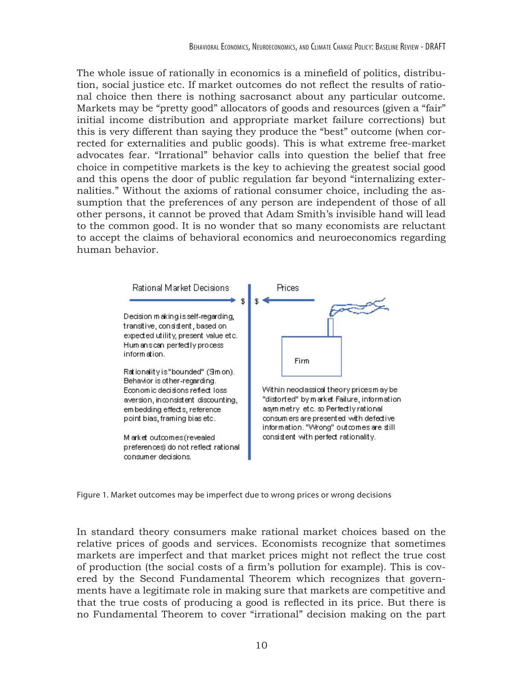The whole issue of rationally in economics is a minefield of politics, distribution, social justice etc. If market outcomes do not reflect the results of rational choice then there is nothing sacrosanct about any particular outcome. Markets may be "pretty good" allocators of goods and resources (given a "fair" initial income distribution and appropriate market failure corrections) but this is very different than saying they produce the "best" outcome (when corrected for externalities and public goods). This is what extreme free-market advocates fear. "Irrational" behavior calls into question the belief that free choice in competitive markets is the key to achieving the greatest social good and this opens the door of public regulation far beyond "internalizing externalities." Without the axioms of rational consumer choice, including the assumption that the preferences of any person are independent of those of all other persons, it cannot be proved that Adam Smith's invisible hand will lead to the common good. It is no wonder that so many economists are reluctant to accept the claims of behavioral economics and neuroeconomics regarding human behavior.



Figure 1. Market outcomes may be imperfect due to wrong prices or wrong decisions

In standard theory consumers make rational market choices based on the relative prices of goods and services. Economists recognize that sometimes markets are imperfect and that market prices might not reflect the true cost of production (the social costs of a firm's pollution for example). This is covered by the Second Fundamental Theorem which recognizes that governments have a legitimate role in making sure that markets are competitive and that the true costs of producing a good is reflected in its price. But there is no Fundamental Theorem to cover "irrational" decision making on the part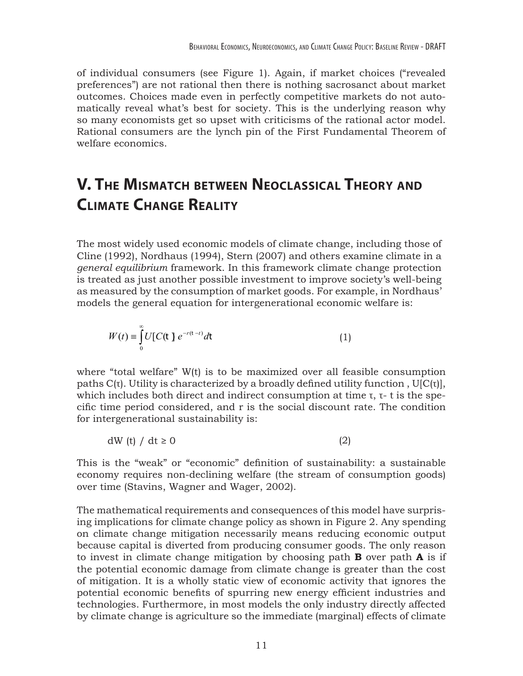of individual consumers (see Figure 1). Again, if market choices ("revealed preferences") are not rational then there is nothing sacrosanct about market outcomes. Choices made even in perfectly competitive markets do not automatically reveal what's best for society. This is the underlying reason why so many economists get so upset with criticisms of the rational actor model. Rational consumers are the lynch pin of the First Fundamental Theorem of welfare economics.

# **V. THE MISMATCH BETWEEN NEOCLASSICAL THEORY AND CLIMATE CHANGE REALITY**

The most widely used economic models of climate change, including those of Cline (1992), Nordhaus (1994), Stern (2007) and others examine climate in a *general equilibrium* framework. In this framework climate change protection is treated as just another possible investment to improve society's well-being as measured by the consumption of market goods. For example, in Nordhaus' models the general equation for intergenerational economic welfare is:

$$
W(t) = \int_{0}^{\infty} U[C(\mathbf{t})] e^{-r(\mathbf{t}-t)} d\mathbf{t}
$$
 (1)

where "total welfare" W(t) is to be maximized over all feasible consumption paths  $C(t)$ . Utility is characterized by a broadly defined utility function,  $U[C(t)]$ , which includes both direct and indirect consumption at time τ, τ- t is the specific time period considered, and  $r$  is the social discount rate. The condition for intergenerational sustainability is:

$$
dW(t) / dt \ge 0
$$
 (2)

This is the "weak" or "economic" definition of sustainability: a sustainable economy requires non-declining welfare (the stream of consumption goods) over time (Stavins, Wagner and Wager, 2002).

The mathematical requirements and consequences of this model have surprising implications for climate change policy as shown in Figure 2. Any spending on climate change mitigation necessarily means reducing economic output because capital is diverted from producing consumer goods. The only reason to invest in climate change mitigation by choosing path **B** over path **A** is if the potential economic damage from climate change is greater than the cost of mitigation. It is a wholly static view of economic activity that ignores the potential economic benefits of spurring new energy efficient industries and technologies. Furthermore, in most models the only industry directly affected by climate change is agriculture so the immediate (marginal) effects of climate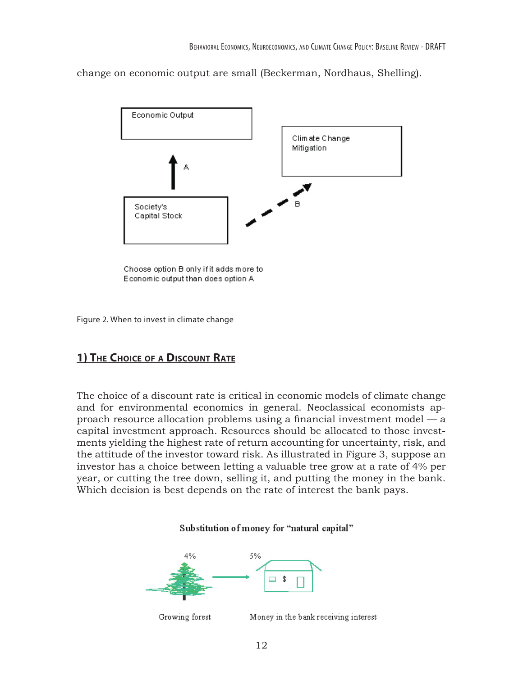change on economic output are small (Beckerman, Nordhaus, Shelling).



Figure 2. When to invest in climate change

#### **1) THE CHOICE OF A DISCOUNT RATE**

The choice of a discount rate is critical in economic models of climate change and for environmental economics in general. Neoclassical economists approach resource allocation problems using a financial investment model  $-$  a capital investment approach. Resources should be allocated to those investments yielding the highest rate of return accounting for uncertainty, risk, and the attitude of the investor toward risk. As illustrated in Figure 3, suppose an investor has a choice between letting a valuable tree grow at a rate of 4% per year, or cutting the tree down, selling it, and putting the money in the bank. Which decision is best depends on the rate of interest the bank pays.



#### Substitution of money for "natural capital"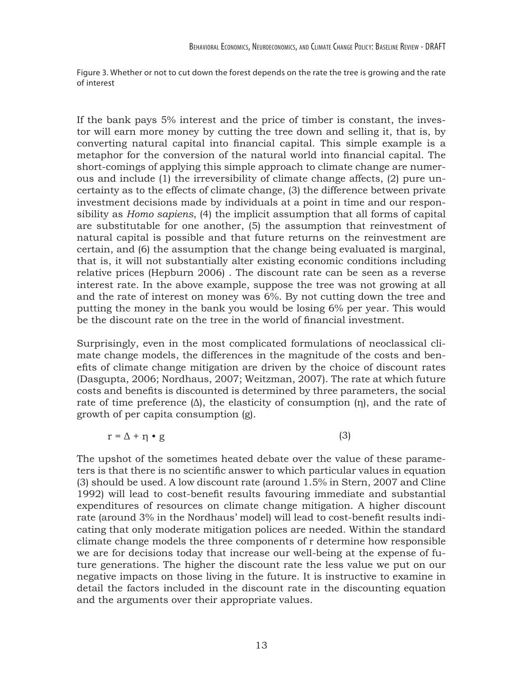Figure 3. Whether or not to cut down the forest depends on the rate the tree is growing and the rate of interest

If the bank pays 5% interest and the price of timber is constant, the investor will earn more money by cutting the tree down and selling it, that is, by converting natural capital into financial capital. This simple example is a metaphor for the conversion of the natural world into financial capital. The short-comings of applying this simple approach to climate change are numerous and include (1) the irreversibility of climate change affects, (2) pure uncertainty as to the effects of climate change, (3) the difference between private investment decisions made by individuals at a point in time and our responsibility as *Homo sapiens*, (4) the implicit assumption that all forms of capital are substitutable for one another, (5) the assumption that reinvestment of natural capital is possible and that future returns on the reinvestment are certain, and (6) the assumption that the change being evaluated is marginal, that is, it will not substantially alter existing economic conditions including relative prices (Hepburn 2006) . The discount rate can be seen as a reverse interest rate. In the above example, suppose the tree was not growing at all and the rate of interest on money was 6%. By not cutting down the tree and putting the money in the bank you would be losing 6% per year. This would be the discount rate on the tree in the world of financial investment.

Surprisingly, even in the most complicated formulations of neoclassical climate change models, the differences in the magnitude of the costs and benefits of climate change mitigation are driven by the choice of discount rates (Dasgupta, 2006; Nordhaus, 2007; Weitzman, 2007). The rate at which future costs and benefits is discounted is determined by three parameters, the social rate of time preference  $(\Delta)$ , the elasticity of consumption  $(\eta)$ , and the rate of growth of per capita consumption (g).

$$
r = \Delta + \eta \bullet g \tag{3}
$$

The upshot of the sometimes heated debate over the value of these parameters is that there is no scientific answer to which particular values in equation (3) should be used. A low discount rate (around 1.5% in Stern, 2007 and Cline 1992) will lead to cost-benefi t results favouring immediate and substantial expenditures of resources on climate change mitigation. A higher discount rate (around 3% in the Nordhaus' model) will lead to cost-benefit results indicating that only moderate mitigation polices are needed. Within the standard climate change models the three components of r determine how responsible we are for decisions today that increase our well-being at the expense of future generations. The higher the discount rate the less value we put on our negative impacts on those living in the future. It is instructive to examine in detail the factors included in the discount rate in the discounting equation and the arguments over their appropriate values.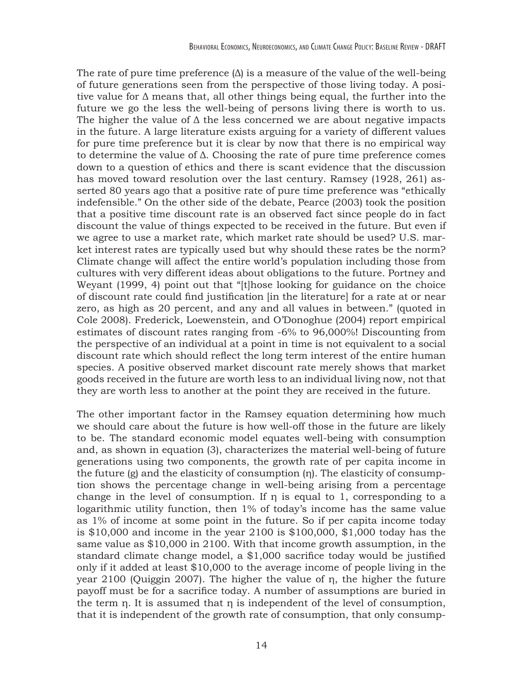The rate of pure time preference  $(\Delta)$  is a measure of the value of the well-being of future generations seen from the perspective of those living today. A positive value for Δ means that, all other things being equal, the further into the future we go the less the well-being of persons living there is worth to us. The higher the value of  $\Delta$  the less concerned we are about negative impacts in the future. A large literature exists arguing for a variety of different values for pure time preference but it is clear by now that there is no empirical way to determine the value of Δ. Choosing the rate of pure time preference comes down to a question of ethics and there is scant evidence that the discussion has moved toward resolution over the last century. Ramsey (1928, 261) asserted 80 years ago that a positive rate of pure time preference was "ethically indefensible." On the other side of the debate, Pearce (2003) took the position that a positive time discount rate is an observed fact since people do in fact discount the value of things expected to be received in the future. But even if we agree to use a market rate, which market rate should be used? U.S. market interest rates are typically used but why should these rates be the norm? Climate change will affect the entire world's population including those from cultures with very different ideas about obligations to the future. Portney and Weyant (1999, 4) point out that "[t]hose looking for guidance on the choice of discount rate could find justification [in the literature] for a rate at or near zero, as high as 20 percent, and any and all values in between." (quoted in Cole 2008). Frederick, Loewenstein, and O'Donoghue (2004) report empirical estimates of discount rates ranging from -6% to 96,000%! Discounting from the perspective of an individual at a point in time is not equivalent to a social discount rate which should reflect the long term interest of the entire human species. A positive observed market discount rate merely shows that market goods received in the future are worth less to an individual living now, not that they are worth less to another at the point they are received in the future.

The other important factor in the Ramsey equation determining how much we should care about the future is how well-off those in the future are likely to be. The standard economic model equates well-being with consumption and, as shown in equation (3), characterizes the material well-being of future generations using two components, the growth rate of per capita income in the future (g) and the elasticity of consumption (η). The elasticity of consumption shows the percentage change in well-being arising from a percentage change in the level of consumption. If η is equal to 1, corresponding to a logarithmic utility function, then 1% of today's income has the same value as 1% of income at some point in the future. So if per capita income today is \$10,000 and income in the year 2100 is \$100,000, \$1,000 today has the same value as \$10,000 in 2100. With that income growth assumption, in the standard climate change model, a  $$1,000$  sacrifice today would be justified only if it added at least \$10,000 to the average income of people living in the year 2100 (Quiggin 2007). The higher the value of η, the higher the future payoff must be for a sacrifice today. A number of assumptions are buried in the term η. It is assumed that η is independent of the level of consumption, that it is independent of the growth rate of consumption, that only consump-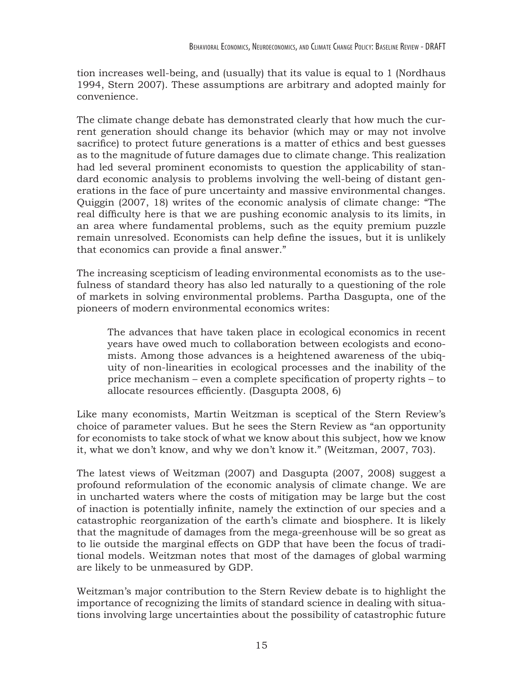tion increases well-being, and (usually) that its value is equal to 1 (Nordhaus 1994, Stern 2007). These assumptions are arbitrary and adopted mainly for convenience.

The climate change debate has demonstrated clearly that how much the current generation should change its behavior (which may or may not involve sacrifice) to protect future generations is a matter of ethics and best guesses as to the magnitude of future damages due to climate change. This realization had led several prominent economists to question the applicability of standard economic analysis to problems involving the well-being of distant generations in the face of pure uncertainty and massive environmental changes. Quiggin (2007, 18) writes of the economic analysis of climate change: "The real difficulty here is that we are pushing economic analysis to its limits, in an area where fundamental problems, such as the equity premium puzzle remain unresolved. Economists can help define the issues, but it is unlikely that economics can provide a final answer."

The increasing scepticism of leading environmental economists as to the usefulness of standard theory has also led naturally to a questioning of the role of markets in solving environmental problems. Partha Dasgupta, one of the pioneers of modern environmental economics writes:

The advances that have taken place in ecological economics in recent years have owed much to collaboration between ecologists and economists. Among those advances is a heightened awareness of the ubiquity of non-linearities in ecological processes and the inability of the price mechanism – even a complete specification of property rights – to allocate resources efficiently. (Dasgupta 2008, 6)

Like many economists, Martin Weitzman is sceptical of the Stern Review's choice of parameter values. But he sees the Stern Review as "an opportunity for economists to take stock of what we know about this subject, how we know it, what we don't know, and why we don't know it." (Weitzman, 2007, 703).

The latest views of Weitzman (2007) and Dasgupta (2007, 2008) suggest a profound reformulation of the economic analysis of climate change. We are in uncharted waters where the costs of mitigation may be large but the cost of inaction is potentially infinite, namely the extinction of our species and a catastrophic reorganization of the earth's climate and biosphere. It is likely that the magnitude of damages from the mega-greenhouse will be so great as to lie outside the marginal effects on GDP that have been the focus of traditional models. Weitzman notes that most of the damages of global warming are likely to be unmeasured by GDP.

Weitzman's major contribution to the Stern Review debate is to highlight the importance of recognizing the limits of standard science in dealing with situations involving large uncertainties about the possibility of catastrophic future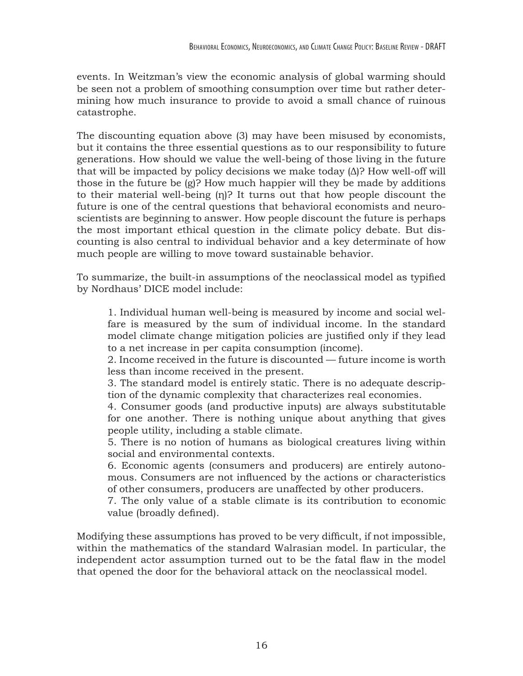events. In Weitzman's view the economic analysis of global warming should be seen not a problem of smoothing consumption over time but rather determining how much insurance to provide to avoid a small chance of ruinous catastrophe.

The discounting equation above (3) may have been misused by economists, but it contains the three essential questions as to our responsibility to future generations. How should we value the well-being of those living in the future that will be impacted by policy decisions we make today  $(\Delta)$ ? How well-off will those in the future be (g)? How much happier will they be made by additions to their material well-being (η)? It turns out that how people discount the future is one of the central questions that behavioral economists and neuroscientists are beginning to answer. How people discount the future is perhaps the most important ethical question in the climate policy debate. But discounting is also central to individual behavior and a key determinate of how much people are willing to move toward sustainable behavior.

To summarize, the built-in assumptions of the neoclassical model as typified by Nordhaus' DICE model include:

1. Individual human well-being is measured by income and social welfare is measured by the sum of individual income. In the standard model climate change mitigation policies are justified only if they lead to a net increase in per capita consumption (income).

2. Income received in the future is discounted — future income is worth less than income received in the present.

3. The standard model is entirely static. There is no adequate description of the dynamic complexity that characterizes real economies.

4. Consumer goods (and productive inputs) are always substitutable for one another. There is nothing unique about anything that gives people utility, including a stable climate.

5. There is no notion of humans as biological creatures living within social and environmental contexts.

6. Economic agents (consumers and producers) are entirely autonomous. Consumers are not influenced by the actions or characteristics of other consumers, producers are unaffected by other producers.

7. The only value of a stable climate is its contribution to economic value (broadly defined).

Modifying these assumptions has proved to be very difficult, if not impossible, within the mathematics of the standard Walrasian model. In particular, the independent actor assumption turned out to be the fatal flaw in the model that opened the door for the behavioral attack on the neoclassical model.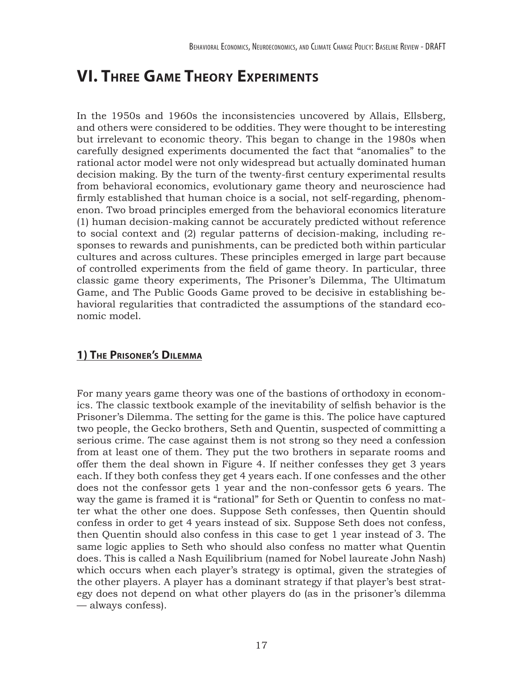### **VI. THREE GAME THEORY EXPERIMENTS**

In the 1950s and 1960s the inconsistencies uncovered by Allais, Ellsberg, and others were considered to be oddities. They were thought to be interesting but irrelevant to economic theory. This began to change in the 1980s when carefully designed experiments documented the fact that "anomalies" to the rational actor model were not only widespread but actually dominated human decision making. By the turn of the twenty-first century experimental results from behavioral economics, evolutionary game theory and neuroscience had firmly established that human choice is a social, not self-regarding, phenomenon. Two broad principles emerged from the behavioral economics literature (1) human decision-making cannot be accurately predicted without reference to social context and (2) regular patterns of decision-making, including responses to rewards and punishments, can be predicted both within particular cultures and across cultures. These principles emerged in large part because of controlled experiments from the field of game theory. In particular, three classic game theory experiments, The Prisoner's Dilemma, The Ultimatum Game, and The Public Goods Game proved to be decisive in establishing behavioral regularities that contradicted the assumptions of the standard economic model.

#### **1) THE PRISONER'S DILEMMA**

For many years game theory was one of the bastions of orthodoxy in economics. The classic textbook example of the inevitability of selfish behavior is the Prisoner's Dilemma. The setting for the game is this. The police have captured two people, the Gecko brothers, Seth and Quentin, suspected of committing a serious crime. The case against them is not strong so they need a confession from at least one of them. They put the two brothers in separate rooms and offer them the deal shown in Figure 4. If neither confesses they get 3 years each. If they both confess they get 4 years each. If one confesses and the other does not the confessor gets 1 year and the non-confessor gets 6 years. The way the game is framed it is "rational" for Seth or Quentin to confess no matter what the other one does. Suppose Seth confesses, then Quentin should confess in order to get 4 years instead of six. Suppose Seth does not confess, then Quentin should also confess in this case to get 1 year instead of 3. The same logic applies to Seth who should also confess no matter what Quentin does. This is called a Nash Equilibrium (named for Nobel laureate John Nash) which occurs when each player's strategy is optimal, given the strategies of the other players. A player has a dominant strategy if that player's best strategy does not depend on what other players do (as in the prisoner's dilemma — always confess).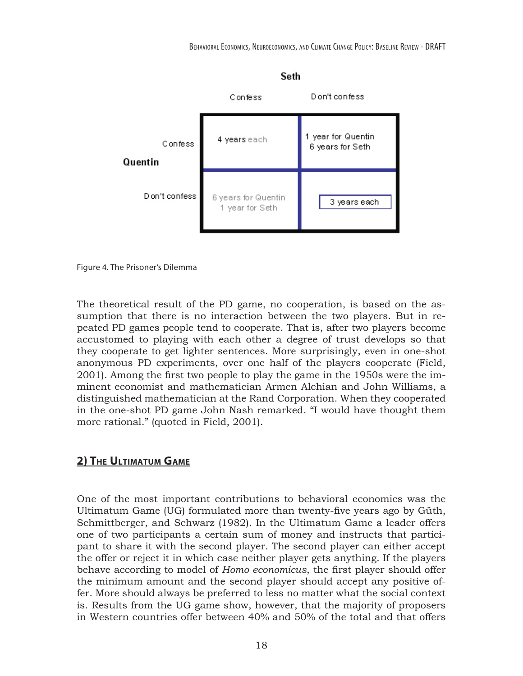

Figure 4. The Prisoner's Dilemma

The theoretical result of the PD game, no cooperation, is based on the assumption that there is no interaction between the two players. But in repeated PD games people tend to cooperate. That is, after two players become accustomed to playing with each other a degree of trust develops so that they cooperate to get lighter sentences. More surprisingly, even in one-shot anonymous PD experiments, over one half of the players cooperate (Field, 2001). Among the first two people to play the game in the 1950s were the imminent economist and mathematician Armen Alchian and John Williams, a distinguished mathematician at the Rand Corporation. When they cooperated in the one-shot PD game John Nash remarked. "I would have thought them more rational." (quoted in Field, 2001).

#### **2) THE ULTIMATUM GAME**

One of the most important contributions to behavioral economics was the Ultimatum Game (UG) formulated more than twenty-five years ago by Güth, Schmittberger, and Schwarz (1982). In the Ultimatum Game a leader offers one of two participants a certain sum of money and instructs that participant to share it with the second player. The second player can either accept the offer or reject it in which case neither player gets anything. If the players behave according to model of *Homo economicus*, the first player should offer the minimum amount and the second player should accept any positive offer. More should always be preferred to less no matter what the social context is. Results from the UG game show, however, that the majority of proposers in Western countries offer between 40% and 50% of the total and that offers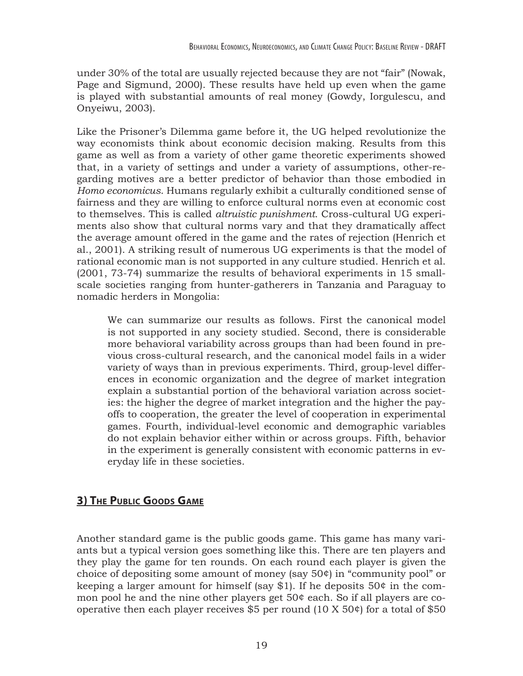under 30% of the total are usually rejected because they are not "fair" (Nowak, Page and Sigmund, 2000). These results have held up even when the game is played with substantial amounts of real money (Gowdy, Iorgulescu, and Onyeiwu, 2003).

Like the Prisoner's Dilemma game before it, the UG helped revolutionize the way economists think about economic decision making. Results from this game as well as from a variety of other game theoretic experiments showed that, in a variety of settings and under a variety of assumptions, other-regarding motives are a better predictor of behavior than those embodied in *Homo economicus*. Humans regularly exhibit a culturally conditioned sense of fairness and they are willing to enforce cultural norms even at economic cost to themselves. This is called *altruistic punishment*. Cross-cultural UG experiments also show that cultural norms vary and that they dramatically affect the average amount offered in the game and the rates of rejection (Henrich et al., 2001). A striking result of numerous UG experiments is that the model of rational economic man is not supported in any culture studied. Henrich et al. (2001, 73-74) summarize the results of behavioral experiments in 15 smallscale societies ranging from hunter-gatherers in Tanzania and Paraguay to nomadic herders in Mongolia:

We can summarize our results as follows. First the canonical model is not supported in any society studied. Second, there is considerable more behavioral variability across groups than had been found in previous cross-cultural research, and the canonical model fails in a wider variety of ways than in previous experiments. Third, group-level differences in economic organization and the degree of market integration explain a substantial portion of the behavioral variation across societies: the higher the degree of market integration and the higher the payoffs to cooperation, the greater the level of cooperation in experimental games. Fourth, individual-level economic and demographic variables do not explain behavior either within or across groups. Fifth, behavior in the experiment is generally consistent with economic patterns in everyday life in these societies.

#### **3) THE PUBLIC GOODS GAME**

Another standard game is the public goods game. This game has many variants but a typical version goes something like this. There are ten players and they play the game for ten rounds. On each round each player is given the choice of depositing some amount of money (say 50¢) in "community pool" or keeping a larger amount for himself (say \$1). If he deposits 50¢ in the common pool he and the nine other players get 50¢ each. So if all players are cooperative then each player receives \$5 per round (10 X 50¢) for a total of \$50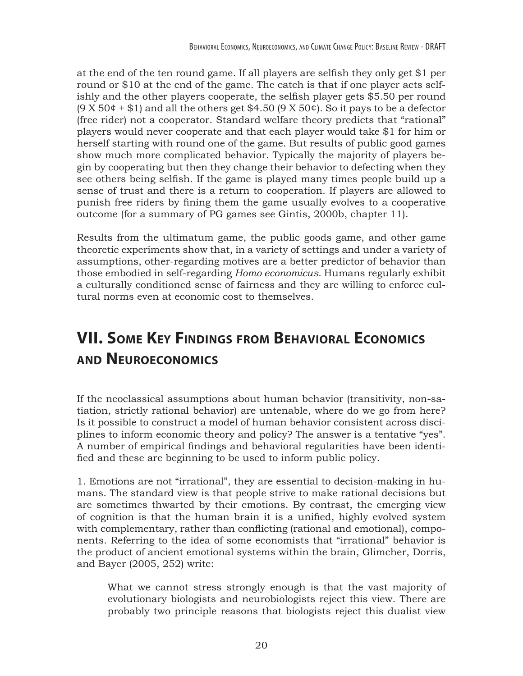at the end of the ten round game. If all players are selfish they only get \$1 per round or \$10 at the end of the game. The catch is that if one player acts selfishly and the other players cooperate, the selfish player gets \$5.50 per round  $(9 X 50¢ + $1)$  and all the others get \$4.50  $(9 X 50¢)$ . So it pays to be a defector (free rider) not a cooperator. Standard welfare theory predicts that "rational" players would never cooperate and that each player would take \$1 for him or herself starting with round one of the game. But results of public good games show much more complicated behavior. Typically the majority of players begin by cooperating but then they change their behavior to defecting when they see others being selfish. If the game is played many times people build up a sense of trust and there is a return to cooperation. If players are allowed to punish free riders by fining them the game usually evolves to a cooperative outcome (for a summary of PG games see Gintis, 2000b, chapter 11).

Results from the ultimatum game, the public goods game, and other game theoretic experiments show that, in a variety of settings and under a variety of assumptions, other-regarding motives are a better predictor of behavior than those embodied in self-regarding *Homo economicus*. Humans regularly exhibit a culturally conditioned sense of fairness and they are willing to enforce cultural norms even at economic cost to themselves.

# **VII. SOME KEY FINDINGS FROM BEHAVIORAL ECONOMICS AND NEUROECONOMICS**

If the neoclassical assumptions about human behavior (transitivity, non-satiation, strictly rational behavior) are untenable, where do we go from here? Is it possible to construct a model of human behavior consistent across disciplines to inform economic theory and policy? The answer is a tentative "yes". A number of empirical findings and behavioral regularities have been identified and these are beginning to be used to inform public policy.

1. Emotions are not "irrational", they are essential to decision-making in humans. The standard view is that people strive to make rational decisions but are sometimes thwarted by their emotions. By contrast, the emerging view of cognition is that the human brain it is a unified, highly evolved system with complementary, rather than conflicting (rational and emotional), components. Referring to the idea of some economists that "irrational" behavior is the product of ancient emotional systems within the brain, Glimcher, Dorris, and Bayer (2005, 252) write:

What we cannot stress strongly enough is that the vast majority of evolutionary biologists and neurobiologists reject this view. There are probably two principle reasons that biologists reject this dualist view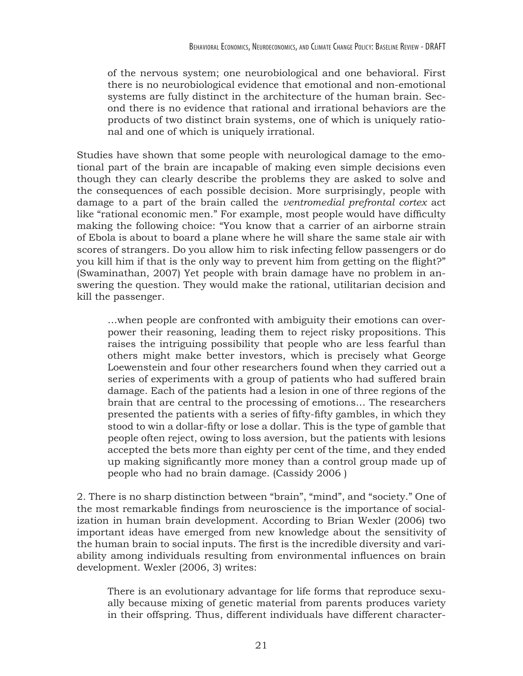of the nervous system; one neurobiological and one behavioral. First there is no neurobiological evidence that emotional and non-emotional systems are fully distinct in the architecture of the human brain. Second there is no evidence that rational and irrational behaviors are the products of two distinct brain systems, one of which is uniquely rational and one of which is uniquely irrational.

Studies have shown that some people with neurological damage to the emotional part of the brain are incapable of making even simple decisions even though they can clearly describe the problems they are asked to solve and the consequences of each possible decision. More surprisingly, people with damage to a part of the brain called the *ventromedial prefrontal cortex* act like "rational economic men." For example, most people would have difficulty making the following choice: "You know that a carrier of an airborne strain of Ebola is about to board a plane where he will share the same stale air with scores of strangers. Do you allow him to risk infecting fellow passengers or do you kill him if that is the only way to prevent him from getting on the flight?" (Swaminathan, 2007) Yet people with brain damage have no problem in answering the question. They would make the rational, utilitarian decision and kill the passenger.

…when people are confronted with ambiguity their emotions can overpower their reasoning, leading them to reject risky propositions. This raises the intriguing possibility that people who are less fearful than others might make better investors, which is precisely what George Loewenstein and four other researchers found when they carried out a series of experiments with a group of patients who had suffered brain damage. Each of the patients had a lesion in one of three regions of the brain that are central to the processing of emotions… The researchers presented the patients with a series of fifty-fifty gambles, in which they stood to win a dollar-fifty or lose a dollar. This is the type of gamble that people often reject, owing to loss aversion, but the patients with lesions accepted the bets more than eighty per cent of the time, and they ended up making significantly more money than a control group made up of people who had no brain damage. (Cassidy 2006 )

2. There is no sharp distinction between "brain", "mind", and "society." One of the most remarkable findings from neuroscience is the importance of socialization in human brain development. According to Brian Wexler (2006) two important ideas have emerged from new knowledge about the sensitivity of the human brain to social inputs. The first is the incredible diversity and variability among individuals resulting from environmental influences on brain development. Wexler (2006, 3) writes:

There is an evolutionary advantage for life forms that reproduce sexually because mixing of genetic material from parents produces variety in their offspring. Thus, different individuals have different character-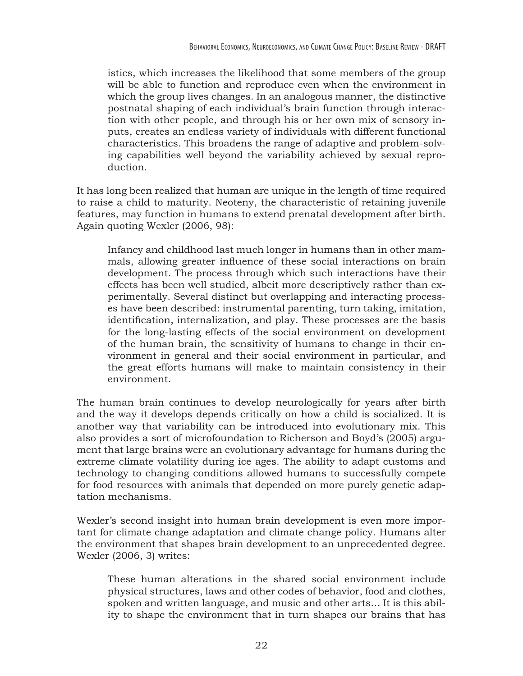istics, which increases the likelihood that some members of the group will be able to function and reproduce even when the environment in which the group lives changes. In an analogous manner, the distinctive postnatal shaping of each individual's brain function through interaction with other people, and through his or her own mix of sensory inputs, creates an endless variety of individuals with different functional characteristics. This broadens the range of adaptive and problem-solving capabilities well beyond the variability achieved by sexual reproduction.

It has long been realized that human are unique in the length of time required to raise a child to maturity. Neoteny, the characteristic of retaining juvenile features, may function in humans to extend prenatal development after birth. Again quoting Wexler (2006, 98):

Infancy and childhood last much longer in humans than in other mammals, allowing greater influence of these social interactions on brain development. The process through which such interactions have their effects has been well studied, albeit more descriptively rather than experimentally. Several distinct but overlapping and interacting processes have been described: instrumental parenting, turn taking, imitation, identification, internalization, and play. These processes are the basis for the long-lasting effects of the social environment on development of the human brain, the sensitivity of humans to change in their environment in general and their social environment in particular, and the great efforts humans will make to maintain consistency in their environment.

The human brain continues to develop neurologically for years after birth and the way it develops depends critically on how a child is socialized. It is another way that variability can be introduced into evolutionary mix. This also provides a sort of microfoundation to Richerson and Boyd's (2005) argument that large brains were an evolutionary advantage for humans during the extreme climate volatility during ice ages. The ability to adapt customs and technology to changing conditions allowed humans to successfully compete for food resources with animals that depended on more purely genetic adaptation mechanisms.

Wexler's second insight into human brain development is even more important for climate change adaptation and climate change policy. Humans alter the environment that shapes brain development to an unprecedented degree. Wexler (2006, 3) writes:

These human alterations in the shared social environment include physical structures, laws and other codes of behavior, food and clothes, spoken and written language, and music and other arts… It is this ability to shape the environment that in turn shapes our brains that has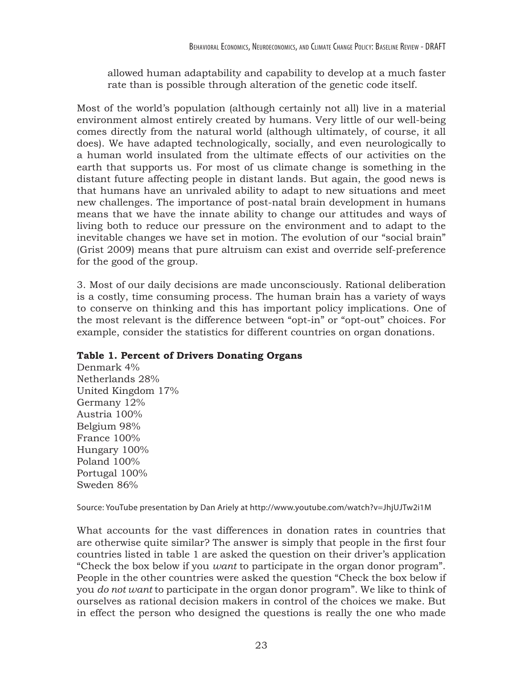allowed human adaptability and capability to develop at a much faster rate than is possible through alteration of the genetic code itself.

Most of the world's population (although certainly not all) live in a material environment almost entirely created by humans. Very little of our well-being comes directly from the natural world (although ultimately, of course, it all does). We have adapted technologically, socially, and even neurologically to a human world insulated from the ultimate effects of our activities on the earth that supports us. For most of us climate change is something in the distant future affecting people in distant lands. But again, the good news is that humans have an unrivaled ability to adapt to new situations and meet new challenges. The importance of post-natal brain development in humans means that we have the innate ability to change our attitudes and ways of living both to reduce our pressure on the environment and to adapt to the inevitable changes we have set in motion. The evolution of our "social brain" (Grist 2009) means that pure altruism can exist and override self-preference for the good of the group.

3. Most of our daily decisions are made unconsciously. Rational deliberation is a costly, time consuming process. The human brain has a variety of ways to conserve on thinking and this has important policy implications. One of the most relevant is the difference between "opt-in" or "opt-out" choices. For example, consider the statistics for different countries on organ donations.

#### **Table 1. Percent of Drivers Donating Organs**

Denmark 4% Netherlands 28% United Kingdom 17% Germany 12% Austria 100% Belgium 98% France 100% Hungary 100% Poland 100% Portugal 100% Sweden 86%

Source: YouTube presentation by Dan Ariely at http://www.youtube.com/watch?v=JhjUJTw2i1M

What accounts for the vast differences in donation rates in countries that are otherwise quite similar? The answer is simply that people in the first four countries listed in table 1 are asked the question on their driver's application "Check the box below if you *want* to participate in the organ donor program". People in the other countries were asked the question "Check the box below if you *do not want* to participate in the organ donor program". We like to think of ourselves as rational decision makers in control of the choices we make. But in effect the person who designed the questions is really the one who made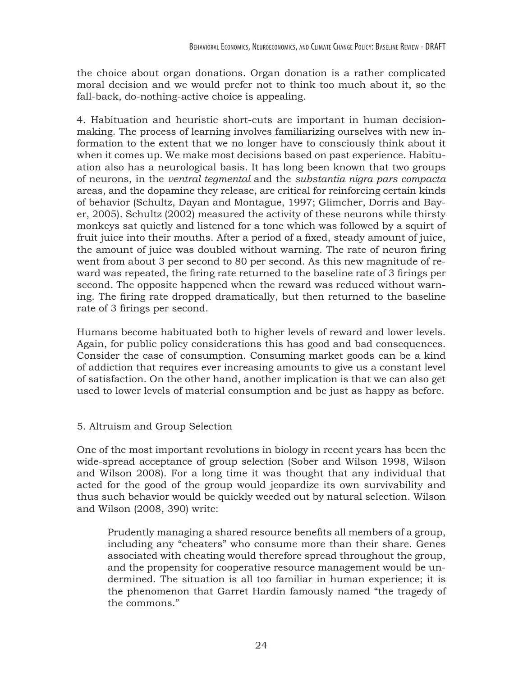the choice about organ donations. Organ donation is a rather complicated moral decision and we would prefer not to think too much about it, so the fall-back, do-nothing-active choice is appealing.

4. Habituation and heuristic short-cuts are important in human decisionmaking. The process of learning involves familiarizing ourselves with new information to the extent that we no longer have to consciously think about it when it comes up. We make most decisions based on past experience. Habituation also has a neurological basis. It has long been known that two groups of neurons, in the *ventral tegmental* and the *substantia nigra pars compacta*  areas, and the dopamine they release, are critical for reinforcing certain kinds of behavior (Schultz, Dayan and Montague, 1997; Glimcher, Dorris and Bayer, 2005). Schultz (2002) measured the activity of these neurons while thirsty monkeys sat quietly and listened for a tone which was followed by a squirt of fruit juice into their mouths. After a period of a fixed, steady amount of juice, the amount of juice was doubled without warning. The rate of neuron firing went from about 3 per second to 80 per second. As this new magnitude of reward was repeated, the firing rate returned to the baseline rate of 3 firings per second. The opposite happened when the reward was reduced without warning. The firing rate dropped dramatically, but then returned to the baseline rate of 3 firings per second.

Humans become habituated both to higher levels of reward and lower levels. Again, for public policy considerations this has good and bad consequences. Consider the case of consumption. Consuming market goods can be a kind of addiction that requires ever increasing amounts to give us a constant level of satisfaction. On the other hand, another implication is that we can also get used to lower levels of material consumption and be just as happy as before.

#### 5. Altruism and Group Selection

One of the most important revolutions in biology in recent years has been the wide-spread acceptance of group selection (Sober and Wilson 1998, Wilson and Wilson 2008). For a long time it was thought that any individual that acted for the good of the group would jeopardize its own survivability and thus such behavior would be quickly weeded out by natural selection. Wilson and Wilson (2008, 390) write:

Prudently managing a shared resource benefits all members of a group, including any "cheaters" who consume more than their share. Genes associated with cheating would therefore spread throughout the group, and the propensity for cooperative resource management would be undermined. The situation is all too familiar in human experience; it is the phenomenon that Garret Hardin famously named "the tragedy of the commons."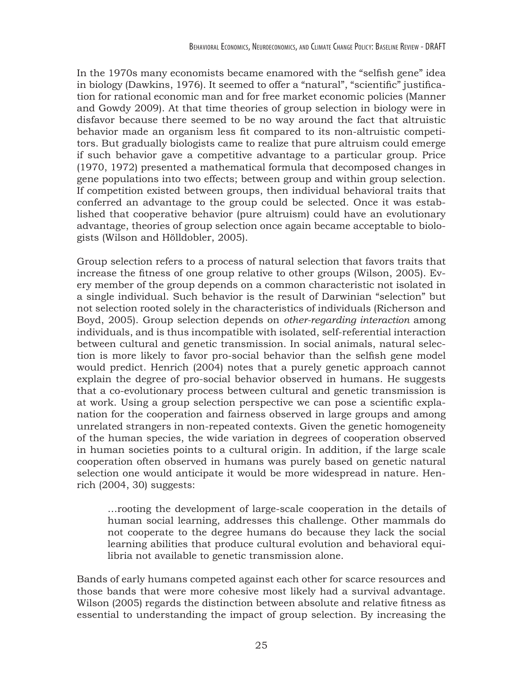In the 1970s many economists became enamored with the "selfish gene" idea in biology (Dawkins, 1976). It seemed to offer a "natural", "scientific" justification for rational economic man and for free market economic policies (Manner and Gowdy 2009). At that time theories of group selection in biology were in disfavor because there seemed to be no way around the fact that altruistic behavior made an organism less fit compared to its non-altruistic competitors. But gradually biologists came to realize that pure altruism could emerge if such behavior gave a competitive advantage to a particular group. Price (1970, 1972) presented a mathematical formula that decomposed changes in gene populations into two effects; between group and within group selection. If competition existed between groups, then individual behavioral traits that conferred an advantage to the group could be selected. Once it was established that cooperative behavior (pure altruism) could have an evolutionary advantage, theories of group selection once again became acceptable to biologists (Wilson and Hölldobler, 2005).

Group selection refers to a process of natural selection that favors traits that increase the fitness of one group relative to other groups (Wilson, 2005). Every member of the group depends on a common characteristic not isolated in a single individual. Such behavior is the result of Darwinian "selection" but not selection rooted solely in the characteristics of individuals (Richerson and Boyd, 2005). Group selection depends on *other-regarding interaction* among individuals, and is thus incompatible with isolated, self-referential interaction between cultural and genetic transmission. In social animals, natural selection is more likely to favor pro-social behavior than the selfish gene model would predict. Henrich (2004) notes that a purely genetic approach cannot explain the degree of pro-social behavior observed in humans. He suggests that a co-evolutionary process between cultural and genetic transmission is at work. Using a group selection perspective we can pose a scientific explanation for the cooperation and fairness observed in large groups and among unrelated strangers in non-repeated contexts. Given the genetic homogeneity of the human species, the wide variation in degrees of cooperation observed in human societies points to a cultural origin. In addition, if the large scale cooperation often observed in humans was purely based on genetic natural selection one would anticipate it would be more widespread in nature. Henrich (2004, 30) suggests:

…rooting the development of large-scale cooperation in the details of human social learning, addresses this challenge. Other mammals do not cooperate to the degree humans do because they lack the social learning abilities that produce cultural evolution and behavioral equilibria not available to genetic transmission alone.

Bands of early humans competed against each other for scarce resources and those bands that were more cohesive most likely had a survival advantage. Wilson (2005) regards the distinction between absolute and relative fitness as essential to understanding the impact of group selection. By increasing the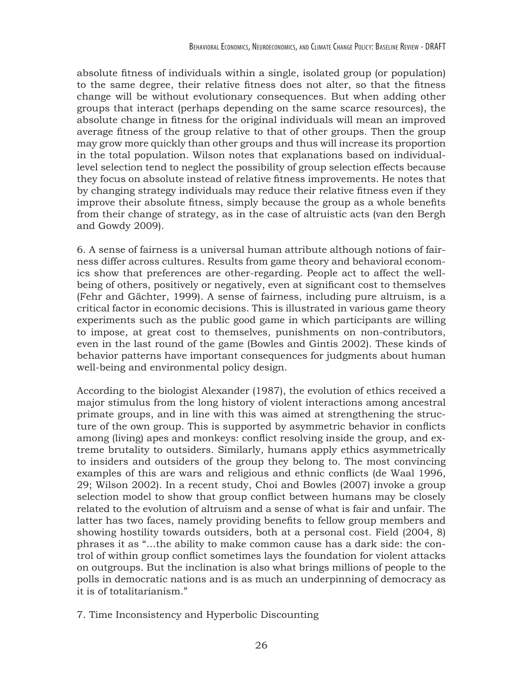absolute fitness of individuals within a single, isolated group (or population) to the same degree, their relative fitness does not alter, so that the fitness change will be without evolutionary consequences. But when adding other groups that interact (perhaps depending on the same scarce resources), the absolute change in fitness for the original individuals will mean an improved average fitness of the group relative to that of other groups. Then the group may grow more quickly than other groups and thus will increase its proportion in the total population. Wilson notes that explanations based on individuallevel selection tend to neglect the possibility of group selection effects because they focus on absolute instead of relative fitness improvements. He notes that by changing strategy individuals may reduce their relative fitness even if they improve their absolute fitness, simply because the group as a whole benefits from their change of strategy, as in the case of altruistic acts (van den Bergh and Gowdy 2009).

6. A sense of fairness is a universal human attribute although notions of fairness differ across cultures. Results from game theory and behavioral economics show that preferences are other-regarding. People act to affect the wellbeing of others, positively or negatively, even at significant cost to themselves (Fehr and Gächter, 1999). A sense of fairness, including pure altruism, is a critical factor in economic decisions. This is illustrated in various game theory experiments such as the public good game in which participants are willing to impose, at great cost to themselves, punishments on non-contributors, even in the last round of the game (Bowles and Gintis 2002). These kinds of behavior patterns have important consequences for judgments about human well-being and environmental policy design.

According to the biologist Alexander (1987), the evolution of ethics received a major stimulus from the long history of violent interactions among ancestral primate groups, and in line with this was aimed at strengthening the structure of the own group. This is supported by asymmetric behavior in conflicts among (living) apes and monkeys: conflict resolving inside the group, and extreme brutality to outsiders. Similarly, humans apply ethics asymmetrically to insiders and outsiders of the group they belong to. The most convincing examples of this are wars and religious and ethnic conflicts (de Waal 1996, 29; Wilson 2002). In a recent study, Choi and Bowles (2007) invoke a group selection model to show that group conflict between humans may be closely related to the evolution of altruism and a sense of what is fair and unfair. The latter has two faces, namely providing benefits to fellow group members and showing hostility towards outsiders, both at a personal cost. Field (2004, 8) phrases it as "…the ability to make common cause has a dark side: the control of within group conflict sometimes lays the foundation for violent attacks on outgroups. But the inclination is also what brings millions of people to the polls in democratic nations and is as much an underpinning of democracy as it is of totalitarianism."

7. Time Inconsistency and Hyperbolic Discounting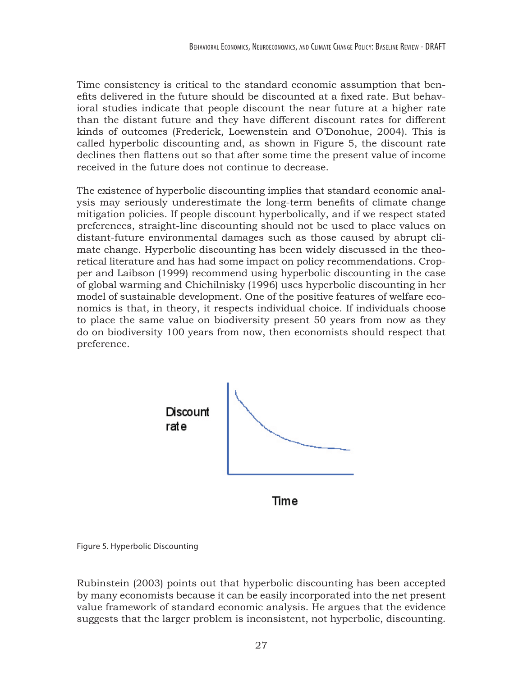Time consistency is critical to the standard economic assumption that benefits delivered in the future should be discounted at a fixed rate. But behavioral studies indicate that people discount the near future at a higher rate than the distant future and they have different discount rates for different kinds of outcomes (Frederick, Loewenstein and O'Donohue, 2004). This is called hyperbolic discounting and, as shown in Figure 5, the discount rate declines then flattens out so that after some time the present value of income received in the future does not continue to decrease.

The existence of hyperbolic discounting implies that standard economic analysis may seriously underestimate the long-term benefits of climate change mitigation policies. If people discount hyperbolically, and if we respect stated preferences, straight-line discounting should not be used to place values on distant-future environmental damages such as those caused by abrupt climate change. Hyperbolic discounting has been widely discussed in the theoretical literature and has had some impact on policy recommendations. Cropper and Laibson (1999) recommend using hyperbolic discounting in the case of global warming and Chichilnisky (1996) uses hyperbolic discounting in her model of sustainable development. One of the positive features of welfare economics is that, in theory, it respects individual choice. If individuals choose to place the same value on biodiversity present 50 years from now as they do on biodiversity 100 years from now, then economists should respect that preference.



Figure 5. Hyperbolic Discounting

Rubinstein (2003) points out that hyperbolic discounting has been accepted by many economists because it can be easily incorporated into the net present value framework of standard economic analysis. He argues that the evidence suggests that the larger problem is inconsistent, not hyperbolic, discounting.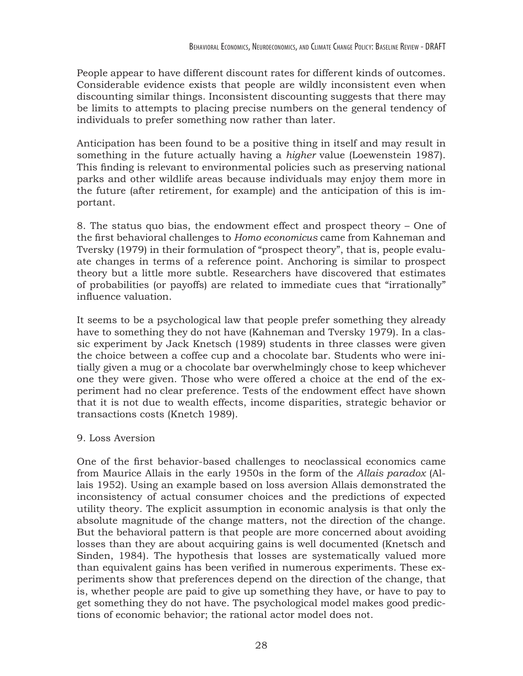People appear to have different discount rates for different kinds of outcomes. Considerable evidence exists that people are wildly inconsistent even when discounting similar things. Inconsistent discounting suggests that there may be limits to attempts to placing precise numbers on the general tendency of individuals to prefer something now rather than later.

Anticipation has been found to be a positive thing in itself and may result in something in the future actually having a *higher* value (Loewenstein 1987). This finding is relevant to environmental policies such as preserving national parks and other wildlife areas because individuals may enjoy them more in the future (after retirement, for example) and the anticipation of this is important.

8. The status quo bias, the endowment effect and prospect theory – One of the fi rst behavioral challenges to *Homo economicus* came from Kahneman and Tversky (1979) in their formulation of "prospect theory", that is, people evaluate changes in terms of a reference point. Anchoring is similar to prospect theory but a little more subtle. Researchers have discovered that estimates of probabilities (or payoffs) are related to immediate cues that "irrationally" influence valuation.

It seems to be a psychological law that people prefer something they already have to something they do not have (Kahneman and Tversky 1979). In a classic experiment by Jack Knetsch (1989) students in three classes were given the choice between a coffee cup and a chocolate bar. Students who were initially given a mug or a chocolate bar overwhelmingly chose to keep whichever one they were given. Those who were offered a choice at the end of the experiment had no clear preference. Tests of the endowment effect have shown that it is not due to wealth effects, income disparities, strategic behavior or transactions costs (Knetch 1989).

#### 9. Loss Aversion

One of the first behavior-based challenges to neoclassical economics came from Maurice Allais in the early 1950s in the form of the *Allais paradox* (Allais 1952). Using an example based on loss aversion Allais demonstrated the inconsistency of actual consumer choices and the predictions of expected utility theory. The explicit assumption in economic analysis is that only the absolute magnitude of the change matters, not the direction of the change. But the behavioral pattern is that people are more concerned about avoiding losses than they are about acquiring gains is well documented (Knetsch and Sinden, 1984). The hypothesis that losses are systematically valued more than equivalent gains has been verified in numerous experiments. These experiments show that preferences depend on the direction of the change, that is, whether people are paid to give up something they have, or have to pay to get something they do not have. The psychological model makes good predictions of economic behavior; the rational actor model does not.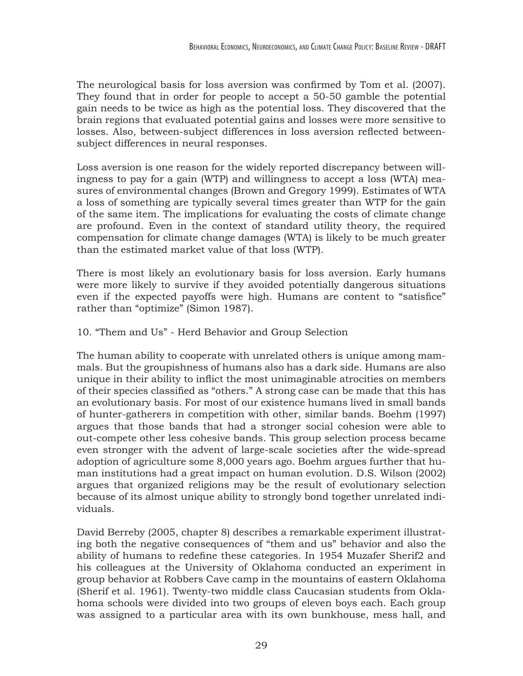The neurological basis for loss aversion was confirmed by Tom et al. (2007). They found that in order for people to accept a 50-50 gamble the potential gain needs to be twice as high as the potential loss. They discovered that the brain regions that evaluated potential gains and losses were more sensitive to losses. Also, between-subject differences in loss aversion reflected betweensubject differences in neural responses.

Loss aversion is one reason for the widely reported discrepancy between willingness to pay for a gain (WTP) and willingness to accept a loss (WTA) measures of environmental changes (Brown and Gregory 1999). Estimates of WTA a loss of something are typically several times greater than WTP for the gain of the same item. The implications for evaluating the costs of climate change are profound. Even in the context of standard utility theory, the required compensation for climate change damages (WTA) is likely to be much greater than the estimated market value of that loss (WTP).

There is most likely an evolutionary basis for loss aversion. Early humans were more likely to survive if they avoided potentially dangerous situations even if the expected payoffs were high. Humans are content to "satisfice" rather than "optimize" (Simon 1987).

#### 10. "Them and Us" - Herd Behavior and Group Selection

The human ability to cooperate with unrelated others is unique among mammals. But the groupishness of humans also has a dark side. Humans are also unique in their ability to inflict the most unimaginable atrocities on members of their species classified as "others." A strong case can be made that this has an evolutionary basis. For most of our existence humans lived in small bands of hunter-gatherers in competition with other, similar bands. Boehm (1997) argues that those bands that had a stronger social cohesion were able to out-compete other less cohesive bands. This group selection process became even stronger with the advent of large-scale societies after the wide-spread adoption of agriculture some 8,000 years ago. Boehm argues further that human institutions had a great impact on human evolution. D.S. Wilson (2002) argues that organized religions may be the result of evolutionary selection because of its almost unique ability to strongly bond together unrelated individuals.

David Berreby (2005, chapter 8) describes a remarkable experiment illustrating both the negative consequences of "them and us" behavior and also the ability of humans to redefine these categories. In 1954 Muzafer Sherif2 and his colleagues at the University of Oklahoma conducted an experiment in group behavior at Robbers Cave camp in the mountains of eastern Oklahoma (Sherif et al. 1961). Twenty-two middle class Caucasian students from Oklahoma schools were divided into two groups of eleven boys each. Each group was assigned to a particular area with its own bunkhouse, mess hall, and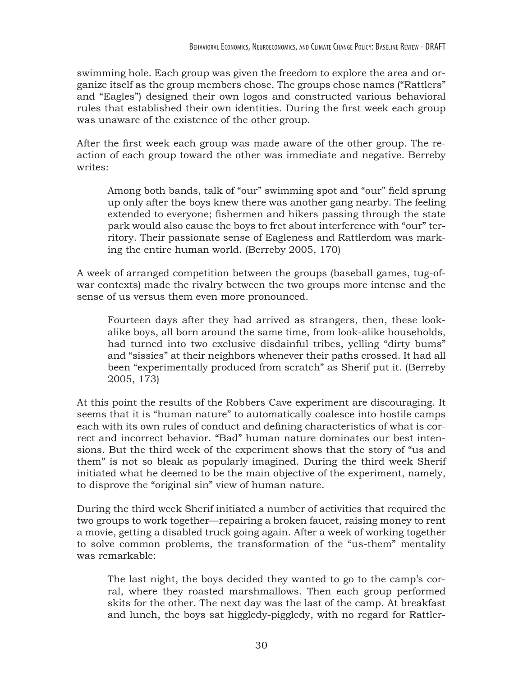swimming hole. Each group was given the freedom to explore the area and organize itself as the group members chose. The groups chose names ("Rattlers" and "Eagles") designed their own logos and constructed various behavioral rules that established their own identities. During the first week each group was unaware of the existence of the other group.

After the first week each group was made aware of the other group. The reaction of each group toward the other was immediate and negative. Berreby writes:

Among both bands, talk of "our" swimming spot and "our" field sprung up only after the boys knew there was another gang nearby. The feeling extended to everyone; fishermen and hikers passing through the state park would also cause the boys to fret about interference with "our" territory. Their passionate sense of Eagleness and Rattlerdom was marking the entire human world. (Berreby 2005, 170)

A week of arranged competition between the groups (baseball games, tug-ofwar contexts) made the rivalry between the two groups more intense and the sense of us versus them even more pronounced.

Fourteen days after they had arrived as strangers, then, these lookalike boys, all born around the same time, from look-alike households, had turned into two exclusive disdainful tribes, yelling "dirty bums" and "sissies" at their neighbors whenever their paths crossed. It had all been "experimentally produced from scratch" as Sherif put it. (Berreby 2005, 173)

At this point the results of the Robbers Cave experiment are discouraging. It seems that it is "human nature" to automatically coalesce into hostile camps each with its own rules of conduct and defining characteristics of what is correct and incorrect behavior. "Bad" human nature dominates our best intensions. But the third week of the experiment shows that the story of "us and them" is not so bleak as popularly imagined. During the third week Sherif initiated what he deemed to be the main objective of the experiment, namely, to disprove the "original sin" view of human nature.

During the third week Sherif initiated a number of activities that required the two groups to work together—repairing a broken faucet, raising money to rent a movie, getting a disabled truck going again. After a week of working together to solve common problems, the transformation of the "us-them" mentality was remarkable:

The last night, the boys decided they wanted to go to the camp's corral, where they roasted marshmallows. Then each group performed skits for the other. The next day was the last of the camp. At breakfast and lunch, the boys sat higgledy-piggledy, with no regard for Rattler-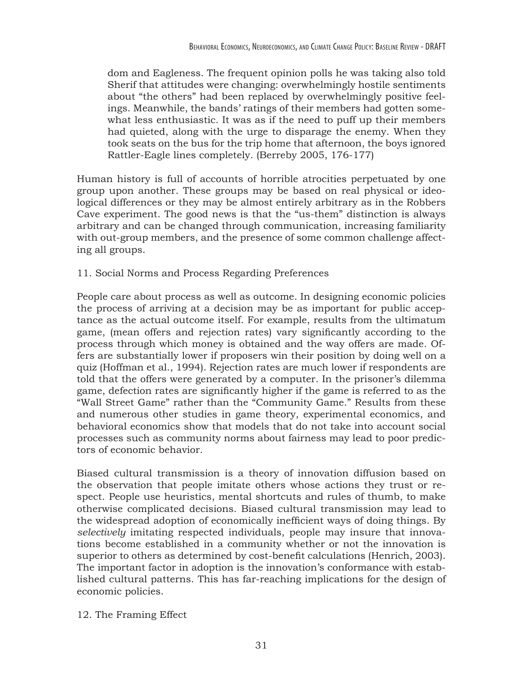dom and Eagleness. The frequent opinion polls he was taking also told Sherif that attitudes were changing: overwhelmingly hostile sentiments about "the others" had been replaced by overwhelmingly positive feelings. Meanwhile, the bands' ratings of their members had gotten somewhat less enthusiastic. It was as if the need to puff up their members had quieted, along with the urge to disparage the enemy. When they took seats on the bus for the trip home that afternoon, the boys ignored Rattler-Eagle lines completely. (Berreby 2005, 176-177)

Human history is full of accounts of horrible atrocities perpetuated by one group upon another. These groups may be based on real physical or ideological differences or they may be almost entirely arbitrary as in the Robbers Cave experiment. The good news is that the "us-them" distinction is always arbitrary and can be changed through communication, increasing familiarity with out-group members, and the presence of some common challenge affecting all groups.

#### 11. Social Norms and Process Regarding Preferences

People care about process as well as outcome. In designing economic policies the process of arriving at a decision may be as important for public acceptance as the actual outcome itself. For example, results from the ultimatum game, (mean offers and rejection rates) vary significantly according to the process through which money is obtained and the way offers are made. Offers are substantially lower if proposers win their position by doing well on a quiz (Hoffman et al., 1994). Rejection rates are much lower if respondents are told that the offers were generated by a computer. In the prisoner's dilemma game, defection rates are significantly higher if the game is referred to as the "Wall Street Game" rather than the "Community Game." Results from these and numerous other studies in game theory, experimental economics, and behavioral economics show that models that do not take into account social processes such as community norms about fairness may lead to poor predictors of economic behavior.

Biased cultural transmission is a theory of innovation diffusion based on the observation that people imitate others whose actions they trust or respect. People use heuristics, mental shortcuts and rules of thumb, to make otherwise complicated decisions. Biased cultural transmission may lead to the widespread adoption of economically inefficient ways of doing things. By *selectively* imitating respected individuals, people may insure that innovations become established in a community whether or not the innovation is superior to others as determined by cost-benefit calculations (Henrich, 2003). The important factor in adoption is the innovation's conformance with established cultural patterns. This has far-reaching implications for the design of economic policies.

#### 12. The Framing Effect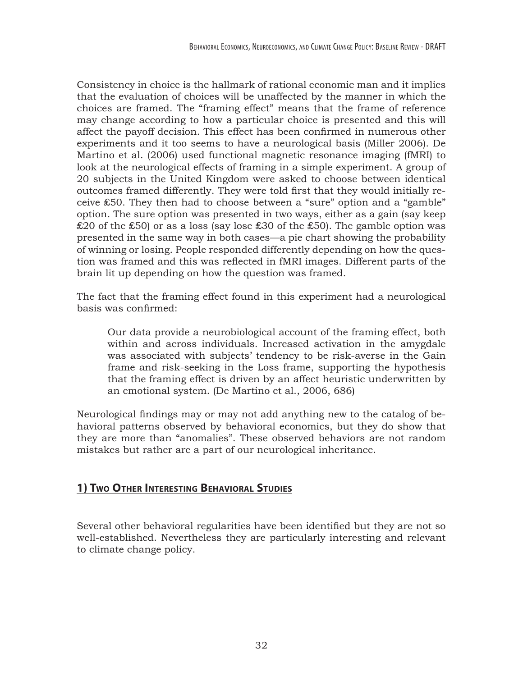Consistency in choice is the hallmark of rational economic man and it implies that the evaluation of choices will be unaffected by the manner in which the choices are framed. The "framing effect" means that the frame of reference may change according to how a particular choice is presented and this will affect the payoff decision. This effect has been confirmed in numerous other experiments and it too seems to have a neurological basis (Miller 2006). De Martino et al. (2006) used functional magnetic resonance imaging (fMRI) to look at the neurological effects of framing in a simple experiment. A group of 20 subjects in the United Kingdom were asked to choose between identical outcomes framed differently. They were told first that they would initially receive ₤50. They then had to choose between a "sure" option and a "gamble" option. The sure option was presented in two ways, either as a gain (say keep ₤20 of the ₤50) or as a loss (say lose ₤30 of the ₤50). The gamble option was presented in the same way in both cases—a pie chart showing the probability of winning or losing. People responded differently depending on how the question was framed and this was reflected in fMRI images. Different parts of the brain lit up depending on how the question was framed.

The fact that the framing effect found in this experiment had a neurological basis was confirmed:

Our data provide a neurobiological account of the framing effect, both within and across individuals. Increased activation in the amygdale was associated with subjects' tendency to be risk-averse in the Gain frame and risk-seeking in the Loss frame, supporting the hypothesis that the framing effect is driven by an affect heuristic underwritten by an emotional system. (De Martino et al., 2006, 686)

Neurological findings may or may not add anything new to the catalog of behavioral patterns observed by behavioral economics, but they do show that they are more than "anomalies". These observed behaviors are not random mistakes but rather are a part of our neurological inheritance.

#### **1) TWO OTHER INTERESTING BEHAVIORAL STUDIES**

Several other behavioral regularities have been identified but they are not so well-established. Nevertheless they are particularly interesting and relevant to climate change policy.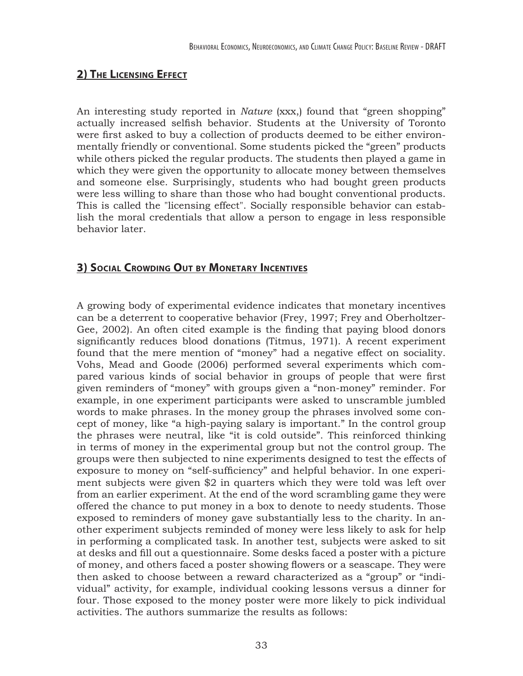#### **2) THE LICENSING EFFECT**

An interesting study reported in *Nature* (xxx,) found that "green shopping" actually increased selfish behavior. Students at the University of Toronto were first asked to buy a collection of products deemed to be either environmentally friendly or conventional. Some students picked the "green" products while others picked the regular products. The students then played a game in which they were given the opportunity to allocate money between themselves and someone else. Surprisingly, students who had bought green products were less willing to share than those who had bought conventional products. This is called the "licensing effect". Socially responsible behavior can establish the moral credentials that allow a person to engage in less responsible behavior later.

#### **3) SOCIAL CROWDING OUT BY MONETARY INCENTIVES**

A growing body of experimental evidence indicates that monetary incentives can be a deterrent to cooperative behavior (Frey, 1997; Frey and Oberholtzer-Gee, 2002). An often cited example is the finding that paying blood donors significantly reduces blood donations (Titmus, 1971). A recent experiment found that the mere mention of "money" had a negative effect on sociality. Vohs, Mead and Goode (2006) performed several experiments which compared various kinds of social behavior in groups of people that were first given reminders of "money" with groups given a "non-money" reminder. For example, in one experiment participants were asked to unscramble jumbled words to make phrases. In the money group the phrases involved some concept of money, like "a high-paying salary is important." In the control group the phrases were neutral, like "it is cold outside". This reinforced thinking in terms of money in the experimental group but not the control group. The groups were then subjected to nine experiments designed to test the effects of exposure to money on "self-sufficiency" and helpful behavior. In one experiment subjects were given \$2 in quarters which they were told was left over from an earlier experiment. At the end of the word scrambling game they were offered the chance to put money in a box to denote to needy students. Those exposed to reminders of money gave substantially less to the charity. In another experiment subjects reminded of money were less likely to ask for help in performing a complicated task. In another test, subjects were asked to sit at desks and fill out a questionnaire. Some desks faced a poster with a picture of money, and others faced a poster showing flowers or a seascape. They were then asked to choose between a reward characterized as a "group" or "individual" activity, for example, individual cooking lessons versus a dinner for four. Those exposed to the money poster were more likely to pick individual activities. The authors summarize the results as follows: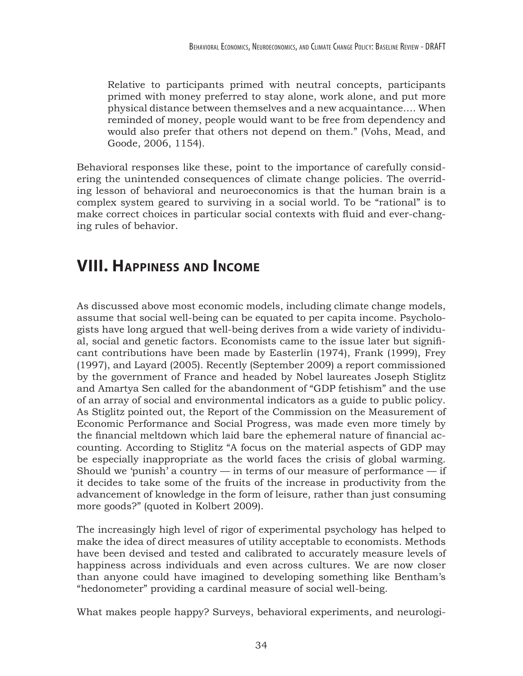Relative to participants primed with neutral concepts, participants primed with money preferred to stay alone, work alone, and put more physical distance between themselves and a new acquaintance…. When reminded of money, people would want to be free from dependency and would also prefer that others not depend on them." (Vohs, Mead, and Goode, 2006, 1154).

Behavioral responses like these, point to the importance of carefully considering the unintended consequences of climate change policies. The overriding lesson of behavioral and neuroeconomics is that the human brain is a complex system geared to surviving in a social world. To be "rational" is to make correct choices in particular social contexts with fluid and ever-changing rules of behavior.

# **VIII. HAPPINESS AND INCOME**

As discussed above most economic models, including climate change models, assume that social well-being can be equated to per capita income. Psychologists have long argued that well-being derives from a wide variety of individual, social and genetic factors. Economists came to the issue later but significant contributions have been made by Easterlin (1974), Frank (1999), Frey (1997), and Layard (2005). Recently (September 2009) a report commissioned by the government of France and headed by Nobel laureates Joseph Stiglitz and Amartya Sen called for the abandonment of "GDP fetishism" and the use of an array of social and environmental indicators as a guide to public policy. As Stiglitz pointed out, the Report of the Commission on the Measurement of Economic Performance and Social Progress, was made even more timely by the financial meltdown which laid bare the ephemeral nature of financial accounting. According to Stiglitz "A focus on the material aspects of GDP may be especially inappropriate as the world faces the crisis of global warming. Should we 'punish' a country  $-$  in terms of our measure of performance  $-$  if it decides to take some of the fruits of the increase in productivity from the advancement of knowledge in the form of leisure, rather than just consuming more goods?" (quoted in Kolbert 2009).

The increasingly high level of rigor of experimental psychology has helped to make the idea of direct measures of utility acceptable to economists. Methods have been devised and tested and calibrated to accurately measure levels of happiness across individuals and even across cultures. We are now closer than anyone could have imagined to developing something like Bentham's "hedonometer" providing a cardinal measure of social well-being.

What makes people happy? Surveys, behavioral experiments, and neurologi-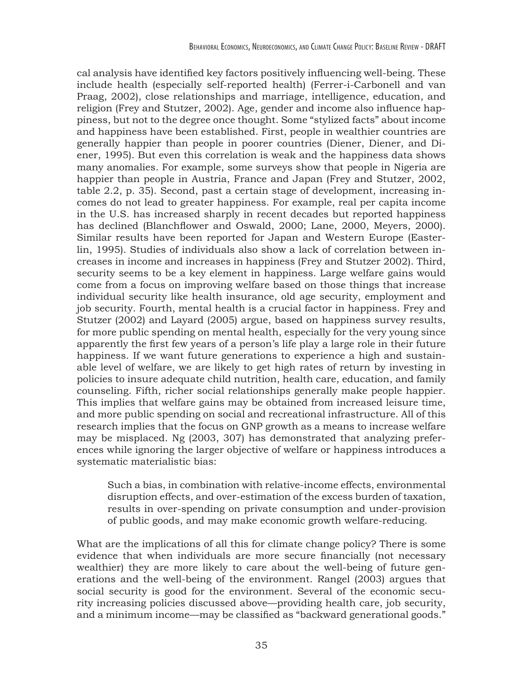cal analysis have identified key factors positively influencing well-being. These include health (especially self-reported health) (Ferrer-i-Carbonell and van Praag, 2002), close relationships and marriage, intelligence, education, and religion (Frey and Stutzer, 2002). Age, gender and income also influence happiness, but not to the degree once thought. Some "stylized facts" about income and happiness have been established. First, people in wealthier countries are generally happier than people in poorer countries (Diener, Diener, and Diener, 1995). But even this correlation is weak and the happiness data shows many anomalies. For example, some surveys show that people in Nigeria are happier than people in Austria, France and Japan (Frey and Stutzer, 2002, table 2.2, p. 35). Second, past a certain stage of development, increasing incomes do not lead to greater happiness. For example, real per capita income in the U.S. has increased sharply in recent decades but reported happiness has declined (Blanchflower and Oswald, 2000; Lane, 2000, Meyers, 2000). Similar results have been reported for Japan and Western Europe (Easterlin, 1995). Studies of individuals also show a lack of correlation between increases in income and increases in happiness (Frey and Stutzer 2002). Third, security seems to be a key element in happiness. Large welfare gains would come from a focus on improving welfare based on those things that increase individual security like health insurance, old age security, employment and job security. Fourth, mental health is a crucial factor in happiness. Frey and Stutzer (2002) and Layard (2005) argue, based on happiness survey results, for more public spending on mental health, especially for the very young since apparently the first few years of a person's life play a large role in their future happiness. If we want future generations to experience a high and sustainable level of welfare, we are likely to get high rates of return by investing in policies to insure adequate child nutrition, health care, education, and family counseling. Fifth, richer social relationships generally make people happier. This implies that welfare gains may be obtained from increased leisure time, and more public spending on social and recreational infrastructure. All of this research implies that the focus on GNP growth as a means to increase welfare may be misplaced. Ng (2003, 307) has demonstrated that analyzing preferences while ignoring the larger objective of welfare or happiness introduces a systematic materialistic bias:

Such a bias, in combination with relative-income effects, environmental disruption effects, and over-estimation of the excess burden of taxation, results in over-spending on private consumption and under-provision of public goods, and may make economic growth welfare-reducing.

What are the implications of all this for climate change policy? There is some evidence that when individuals are more secure financially (not necessary wealthier) they are more likely to care about the well-being of future generations and the well-being of the environment. Rangel (2003) argues that social security is good for the environment. Several of the economic security increasing policies discussed above—providing health care, job security, and a minimum income—may be classified as "backward generational goods."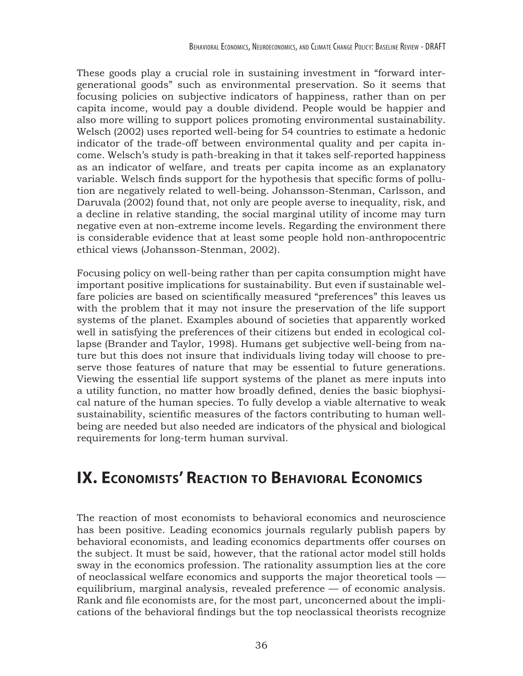These goods play a crucial role in sustaining investment in "forward intergenerational goods" such as environmental preservation. So it seems that focusing policies on subjective indicators of happiness, rather than on per capita income, would pay a double dividend. People would be happier and also more willing to support polices promoting environmental sustainability. Welsch (2002) uses reported well-being for 54 countries to estimate a hedonic indicator of the trade-off between environmental quality and per capita income. Welsch's study is path-breaking in that it takes self-reported happiness as an indicator of welfare, and treats per capita income as an explanatory variable. Welsch finds support for the hypothesis that specific forms of pollution are negatively related to well-being. Johansson-Stenman, Carlsson, and Daruvala (2002) found that, not only are people averse to inequality, risk, and a decline in relative standing, the social marginal utility of income may turn negative even at non-extreme income levels. Regarding the environment there is considerable evidence that at least some people hold non-anthropocentric ethical views (Johansson-Stenman, 2002).

Focusing policy on well-being rather than per capita consumption might have important positive implications for sustainability. But even if sustainable welfare policies are based on scientifically measured "preferences" this leaves us with the problem that it may not insure the preservation of the life support systems of the planet. Examples abound of societies that apparently worked well in satisfying the preferences of their citizens but ended in ecological collapse (Brander and Taylor, 1998). Humans get subjective well-being from nature but this does not insure that individuals living today will choose to preserve those features of nature that may be essential to future generations. Viewing the essential life support systems of the planet as mere inputs into a utility function, no matter how broadly defined, denies the basic biophysical nature of the human species. To fully develop a viable alternative to weak sustainability, scientific measures of the factors contributing to human wellbeing are needed but also needed are indicators of the physical and biological requirements for long-term human survival.

### **IX. ECONOMISTS' REACTION TO BEHAVIORAL ECONOMICS**

The reaction of most economists to behavioral economics and neuroscience has been positive. Leading economics journals regularly publish papers by behavioral economists, and leading economics departments offer courses on the subject. It must be said, however, that the rational actor model still holds sway in the economics profession. The rationality assumption lies at the core of neoclassical welfare economics and supports the major theoretical tools equilibrium, marginal analysis, revealed preference — of economic analysis. Rank and file economists are, for the most part, unconcerned about the implications of the behavioral findings but the top neoclassical theorists recognize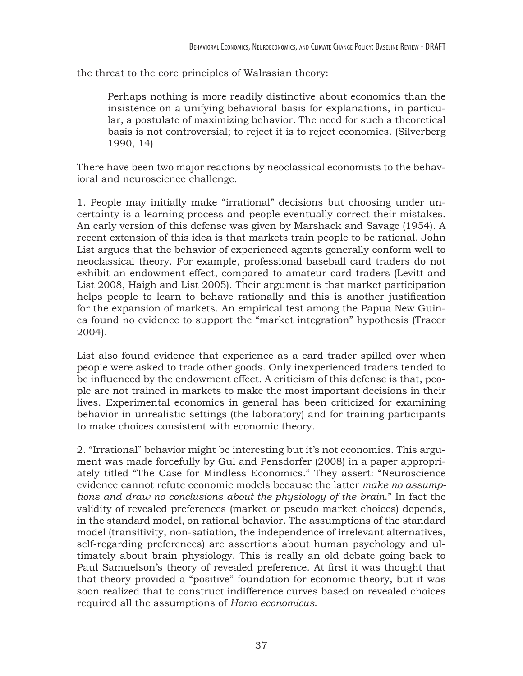the threat to the core principles of Walrasian theory:

Perhaps nothing is more readily distinctive about economics than the insistence on a unifying behavioral basis for explanations, in particular, a postulate of maximizing behavior. The need for such a theoretical basis is not controversial; to reject it is to reject economics. (Silverberg 1990, 14)

There have been two major reactions by neoclassical economists to the behavioral and neuroscience challenge.

1. People may initially make "irrational" decisions but choosing under uncertainty is a learning process and people eventually correct their mistakes. An early version of this defense was given by Marshack and Savage (1954). A recent extension of this idea is that markets train people to be rational. John List argues that the behavior of experienced agents generally conform well to neoclassical theory. For example, professional baseball card traders do not exhibit an endowment effect, compared to amateur card traders (Levitt and List 2008, Haigh and List 2005). Their argument is that market participation helps people to learn to behave rationally and this is another justification for the expansion of markets. An empirical test among the Papua New Guinea found no evidence to support the "market integration" hypothesis (Tracer 2004).

List also found evidence that experience as a card trader spilled over when people were asked to trade other goods. Only inexperienced traders tended to be influenced by the endowment effect. A criticism of this defense is that, people are not trained in markets to make the most important decisions in their lives. Experimental economics in general has been criticized for examining behavior in unrealistic settings (the laboratory) and for training participants to make choices consistent with economic theory.

2. "Irrational" behavior might be interesting but it's not economics. This argument was made forcefully by Gul and Pensdorfer (2008) in a paper appropriately titled "The Case for Mindless Economics." They assert: "Neuroscience evidence cannot refute economic models because the latter *make no assumptions and draw no conclusions about the physiology of the brain*." In fact the validity of revealed preferences (market or pseudo market choices) depends, in the standard model, on rational behavior. The assumptions of the standard model (transitivity, non-satiation, the independence of irrelevant alternatives, self-regarding preferences) are assertions about human psychology and ultimately about brain physiology. This is really an old debate going back to Paul Samuelson's theory of revealed preference. At first it was thought that that theory provided a "positive" foundation for economic theory, but it was soon realized that to construct indifference curves based on revealed choices required all the assumptions of *Homo economicus*.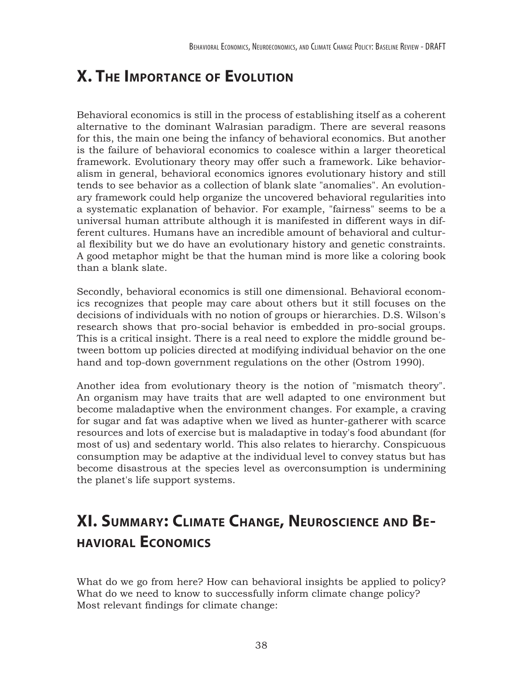## **X. THE IMPORTANCE OF EVOLUTION**

Behavioral economics is still in the process of establishing itself as a coherent alternative to the dominant Walrasian paradigm. There are several reasons for this, the main one being the infancy of behavioral economics. But another is the failure of behavioral economics to coalesce within a larger theoretical framework. Evolutionary theory may offer such a framework. Like behavioralism in general, behavioral economics ignores evolutionary history and still tends to see behavior as a collection of blank slate "anomalies". An evolutionary framework could help organize the uncovered behavioral regularities into a systematic explanation of behavior. For example, "fairness" seems to be a universal human attribute although it is manifested in different ways in different cultures. Humans have an incredible amount of behavioral and cultural flexibility but we do have an evolutionary history and genetic constraints. A good metaphor might be that the human mind is more like a coloring book than a blank slate.

Secondly, behavioral economics is still one dimensional. Behavioral economics recognizes that people may care about others but it still focuses on the decisions of individuals with no notion of groups or hierarchies. D.S. Wilson's research shows that pro-social behavior is embedded in pro-social groups. This is a critical insight. There is a real need to explore the middle ground between bottom up policies directed at modifying individual behavior on the one hand and top-down government regulations on the other (Ostrom 1990).

Another idea from evolutionary theory is the notion of "mismatch theory". An organism may have traits that are well adapted to one environment but become maladaptive when the environment changes. For example, a craving for sugar and fat was adaptive when we lived as hunter-gatherer with scarce resources and lots of exercise but is maladaptive in today's food abundant (for most of us) and sedentary world. This also relates to hierarchy. Conspicuous consumption may be adaptive at the individual level to convey status but has become disastrous at the species level as overconsumption is undermining the planet's life support systems.

# **XI. SUMMARY: CLIMATE CHANGE, NEUROSCIENCE AND BE-HAVIORAL ECONOMICS**

What do we go from here? How can behavioral insights be applied to policy? What do we need to know to successfully inform climate change policy? Most relevant findings for climate change: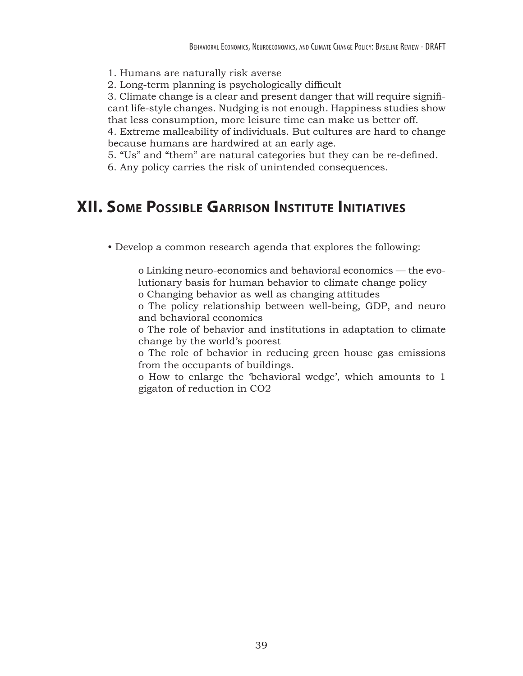1. Humans are naturally risk averse

2. Long-term planning is psychologically difficult

3. Climate change is a clear and present danger that will require signifi cant life-style changes. Nudging is not enough. Happiness studies show that less consumption, more leisure time can make us better off.

4. Extreme malleability of individuals. But cultures are hard to change because humans are hardwired at an early age.

5. "Us" and "them" are natural categories but they can be re-defined.

6. Any policy carries the risk of unintended consequences.

### **XII. SOME POSSIBLE GARRISON INSTITUTE INITIATIVES**

• Develop a common research agenda that explores the following:

o Linking neuro-economics and behavioral economics — the evolutionary basis for human behavior to climate change policy o Changing behavior as well as changing attitudes

o The policy relationship between well-being, GDP, and neuro and behavioral economics

o The role of behavior and institutions in adaptation to climate change by the world's poorest

o The role of behavior in reducing green house gas emissions from the occupants of buildings.

o How to enlarge the 'behavioral wedge', which amounts to 1 gigaton of reduction in CO2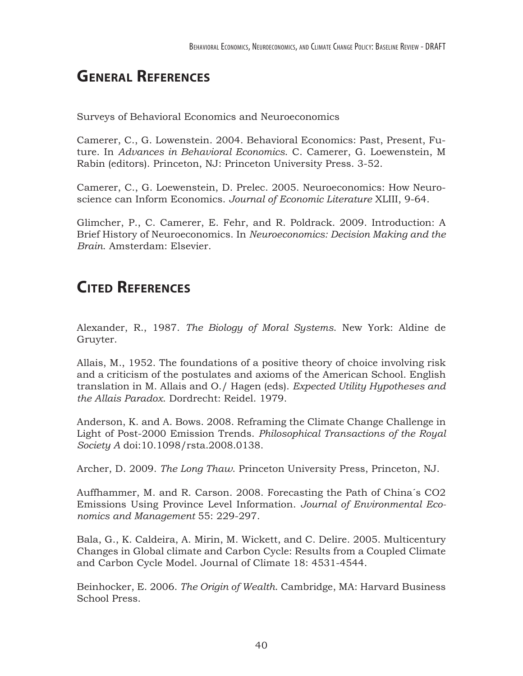### **GENERAL REFERENCES**

Surveys of Behavioral Economics and Neuroeconomics

Camerer, C., G. Lowenstein. 2004. Behavioral Economics: Past, Present, Future. In *Advances in Behavioral Economics*. C. Camerer, G. Loewenstein, M Rabin (editors). Princeton, NJ: Princeton University Press. 3-52.

Camerer, C., G. Loewenstein, D. Prelec. 2005. Neuroeconomics: How Neuroscience can Inform Economics. *Journal of Economic Literature* XLIII, 9-64.

Glimcher, P., C. Camerer, E. Fehr, and R. Poldrack. 2009. Introduction: A Brief History of Neuroeconomics. In *Neuroeconomics: Decision Making and the Brain*. Amsterdam: Elsevier.

### **CITED REFERENCES**

Alexander, R., 1987. *The Biology of Moral Systems*. New York: Aldine de Gruyter.

Allais, M., 1952. The foundations of a positive theory of choice involving risk and a criticism of the postulates and axioms of the American School. English translation in M. Allais and O./ Hagen (eds). *Expected Utility Hypotheses and the Allais Paradox*. Dordrecht: Reidel. 1979.

Anderson, K. and A. Bows. 2008. Reframing the Climate Change Challenge in Light of Post-2000 Emission Trends. *Philosophical Transactions of the Royal Society A* doi:10.1098/rsta.2008.0138.

Archer, D. 2009. *The Long Thaw*. Princeton University Press, Princeton, NJ.

Auffhammer, M. and R. Carson. 2008. Forecasting the Path of China´s CO2 Emissions Using Province Level Information. *Journal of Environmental Economics and Management* 55: 229-297.

Bala, G., K. Caldeira, A. Mirin, M. Wickett, and C. Delire. 2005. Multicentury Changes in Global climate and Carbon Cycle: Results from a Coupled Climate and Carbon Cycle Model. Journal of Climate 18: 4531-4544.

Beinhocker, E. 2006. *The Origin of Wealth*. Cambridge, MA: Harvard Business School Press.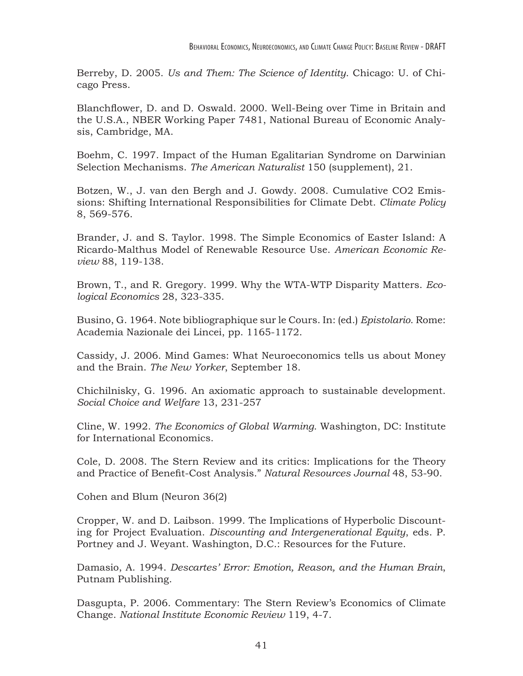Berreby, D. 2005. *Us and Them: The Science of Identity*. Chicago: U. of Chicago Press.

Blanchflower, D. and D. Oswald. 2000. Well-Being over Time in Britain and the U.S.A., NBER Working Paper 7481, National Bureau of Economic Analysis, Cambridge, MA.

Boehm, C. 1997. Impact of the Human Egalitarian Syndrome on Darwinian Selection Mechanisms. *The American Naturalist* 150 (supplement), 21.

Botzen, W., J. van den Bergh and J. Gowdy. 2008. Cumulative CO2 Emissions: Shifting International Responsibilities for Climate Debt. *Climate Policy*  8, 569-576.

Brander, J. and S. Taylor. 1998. The Simple Economics of Easter Island: A Ricardo-Malthus Model of Renewable Resource Use. *American Economic Review* 88, 119-138.

Brown, T., and R. Gregory. 1999. Why the WTA-WTP Disparity Matters. *Ecological Economics* 28, 323-335.

Busino, G. 1964. Note bibliographique sur le Cours. In: (ed.) *Epistolario*. Rome: Academia Nazionale dei Lincei, pp. 1165-1172.

Cassidy, J. 2006. Mind Games: What Neuroeconomics tells us about Money and the Brain. *The New Yorker*, September 18.

Chichilnisky, G. 1996. An axiomatic approach to sustainable development. *Social Choice and Welfare* 13, 231-257

Cline, W. 1992. *The Economics of Global Warming*. Washington, DC: Institute for International Economics.

Cole, D. 2008. The Stern Review and its critics: Implications for the Theory and Practice of Benefit-Cost Analysis." *Natural Resources Journal* 48, 53-90.

Cohen and Blum (Neuron 36(2)

Cropper, W. and D. Laibson. 1999. The Implications of Hyperbolic Discounting for Project Evaluation. *Discounting and Intergenerational Equity*, eds. P. Portney and J. Weyant. Washington, D.C.: Resources for the Future.

Damasio, A. 1994. *Descartes' Error: Emotion, Reason, and the Human Brain*, Putnam Publishing.

Dasgupta, P. 2006. Commentary: The Stern Review's Economics of Climate Change. *National Institute Economic Review* 119, 4-7.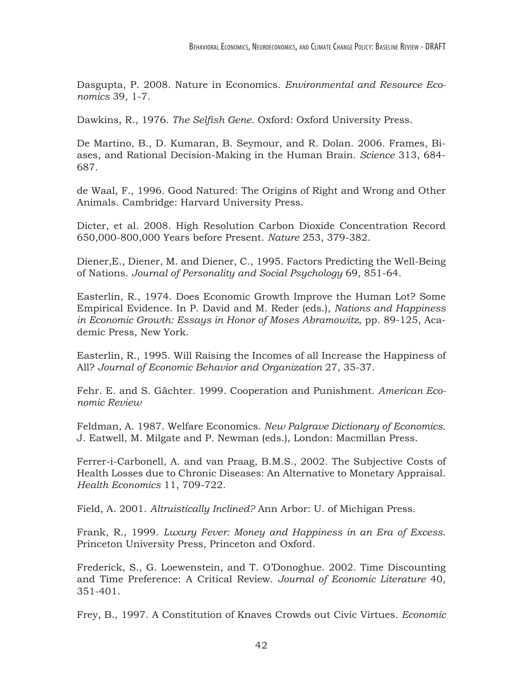Dasgupta, P. 2008. Nature in Economics. *Environmental and Resource Economics* 39, 1-7.

Dawkins, R., 1976. *The Selfish Gene*. Oxford: Oxford University Press.

De Martino, B., D. Kumaran, B. Seymour, and R. Dolan. 2006. Frames, Biases, and Rational Decision-Making in the Human Brain. *Science* 313, 684- 687.

de Waal, F., 1996. Good Natured: The Origins of Right and Wrong and Other Animals. Cambridge: Harvard University Press.

Dicter, et al. 2008. High Resolution Carbon Dioxide Concentration Record 650,000-800,000 Years before Present. *Nature* 253, 379-382.

Diener,E., Diener, M. and Diener, C., 1995. Factors Predicting the Well-Being of Nations. *Journal of Personality and Social Psychology* 69, 851-64.

Easterlin, R., 1974. Does Economic Growth Improve the Human Lot? Some Empirical Evidence. In P. David and M. Reder (eds.), *Nations and Happiness in Economic Growth: Essays in Honor of Moses Abramowitz*, pp. 89-125, Academic Press, New York.

Easterlin, R., 1995. Will Raising the Incomes of all Increase the Happiness of All? *Journal of Economic Behavior and Organization* 27, 35-37.

Fehr. E. and S. Gächter. 1999. Cooperation and Punishment. *American Economic Review*

Feldman, A. 1987. Welfare Economics. *New Palgrave Dictionary of Economics*. J. Eatwell, M. Milgate and P. Newman (eds.), London: Macmillan Press.

Ferrer-i-Carbonell, A. and van Praag, B.M.S., 2002. The Subjective Costs of Health Losses due to Chronic Diseases: An Alternative to Monetary Appraisal. *Health Economics* 11, 709-722.

Field, A. 2001. *Altruistically Inclined?* Ann Arbor: U. of Michigan Press.

Frank, R., 1999. *Luxury Fever: Money and Happiness in an Era of Excess*. Princeton University Press, Princeton and Oxford.

Frederick, S., G. Loewenstein, and T. O'Donoghue. 2002. Time Discounting and Time Preference: A Critical Review. *Journal of Economic Literature* 40, 351-401.

Frey, B., 1997. A Constitution of Knaves Crowds out Civic Virtues. *Economic*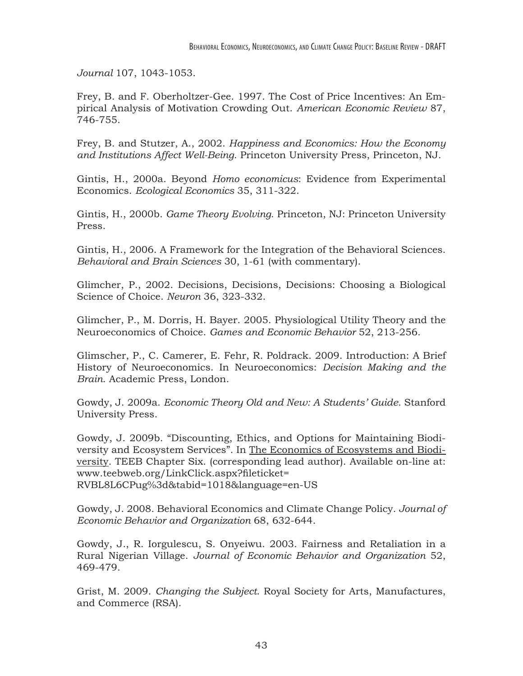*Journal* 107, 1043-1053.

Frey, B. and F. Oberholtzer-Gee. 1997. The Cost of Price Incentives: An Empirical Analysis of Motivation Crowding Out. *American Economic Review* 87, 746-755.

Frey, B. and Stutzer, A., 2002. *Happiness and Economics: How the Economy and Institutions Affect Well-Being*. Princeton University Press, Princeton, NJ.

Gintis, H., 2000a. Beyond *Homo economicus*: Evidence from Experimental Economics. *Ecological Economics* 35, 311-322.

Gintis, H., 2000b. *Game Theory Evolving*. Princeton, NJ: Princeton University Press.

Gintis, H., 2006. A Framework for the Integration of the Behavioral Sciences. *Behavioral and Brain Sciences* 30, 1-61 (with commentary).

Glimcher, P., 2002. Decisions, Decisions, Decisions: Choosing a Biological Science of Choice. *Neuron* 36, 323-332.

Glimcher, P., M. Dorris, H. Bayer. 2005. Physiological Utility Theory and the Neuroeconomics of Choice. *Games and Economic Behavior* 52, 213-256.

Glimscher, P., C. Camerer, E. Fehr, R. Poldrack. 2009. Introduction: A Brief History of Neuroeconomics. In Neuroeconomics: *Decision Making and the Brain*. Academic Press, London.

Gowdy, J. 2009a. *Economic Theory Old and New: A Students' Guide*. Stanford University Press.

Gowdy, J. 2009b. "Discounting, Ethics, and Options for Maintaining Biodiversity and Ecosystem Services". In The Economics of Ecosystems and Biodiversity. TEEB Chapter Six. (corresponding lead author). Available on-line at: www.teebweb.org/LinkClick.aspx?fileticket= RVBL8L6CPug%3d&tabid=1018&language=en-US

Gowdy, J. 2008. Behavioral Economics and Climate Change Policy. *Journal of Economic Behavior and Organization* 68, 632-644.

Gowdy, J., R. Iorgulescu, S. Onyeiwu. 2003. Fairness and Retaliation in a Rural Nigerian Village. *Journal of Economic Behavior and Organization* 52, 469-479.

Grist, M. 2009. *Changing the Subject*. Royal Society for Arts, Manufactures, and Commerce (RSA).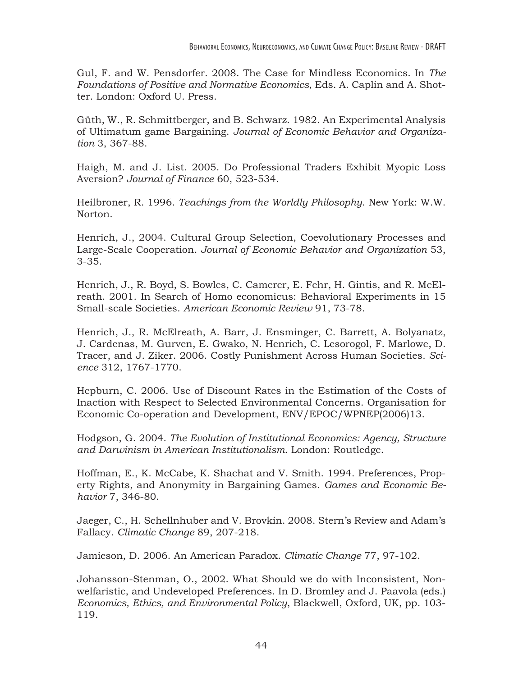Gul, F. and W. Pensdorfer. 2008. The Case for Mindless Economics. In *The Foundations of Positive and Normative Economics*, Eds. A. Caplin and A. Shotter. London: Oxford U. Press.

Güth, W., R. Schmittberger, and B. Schwarz. 1982. An Experimental Analysis of Ultimatum game Bargaining. *Journal of Economic Behavior and Organization* 3, 367-88.

Haigh, M. and J. List. 2005. Do Professional Traders Exhibit Myopic Loss Aversion? *Journal of Finance* 60, 523-534.

Heilbroner, R. 1996. *Teachings from the Worldly Philosophy*. New York: W.W. Norton.

Henrich, J., 2004. Cultural Group Selection, Coevolutionary Processes and Large-Scale Cooperation. *Journal of Economic Behavior and Organization* 53, 3-35.

Henrich, J., R. Boyd, S. Bowles, C. Camerer, E. Fehr, H. Gintis, and R. McElreath. 2001. In Search of Homo economicus: Behavioral Experiments in 15 Small-scale Societies. *American Economic Review* 91, 73-78.

Henrich, J., R. McElreath, A. Barr, J. Ensminger, C. Barrett, A. Bolyanatz, J. Cardenas, M. Gurven, E. Gwako, N. Henrich, C. Lesorogol, F. Marlowe, D. Tracer, and J. Ziker. 2006. Costly Punishment Across Human Societies. *Science* 312, 1767-1770.

Hepburn, C. 2006. Use of Discount Rates in the Estimation of the Costs of Inaction with Respect to Selected Environmental Concerns. Organisation for Economic Co-operation and Development, ENV/EPOC/WPNEP(2006)13.

Hodgson, G. 2004. *The Evolution of Institutional Economics: Agency, Structure and Darwinism in American Institutionalism*. London: Routledge.

Hoffman, E., K. McCabe, K. Shachat and V. Smith. 1994. Preferences, Property Rights, and Anonymity in Bargaining Games. *Games and Economic Behavior* 7, 346-80.

Jaeger, C., H. Schellnhuber and V. Brovkin. 2008. Stern's Review and Adam's Fallacy. *Climatic Change* 89, 207-218.

Jamieson, D. 2006. An American Paradox. *Climatic Change* 77, 97-102.

Johansson-Stenman, O., 2002. What Should we do with Inconsistent, Nonwelfaristic, and Undeveloped Preferences. In D. Bromley and J. Paavola (eds.) *Economics, Ethics, and Environmental Policy*, Blackwell, Oxford, UK, pp. 103- 119.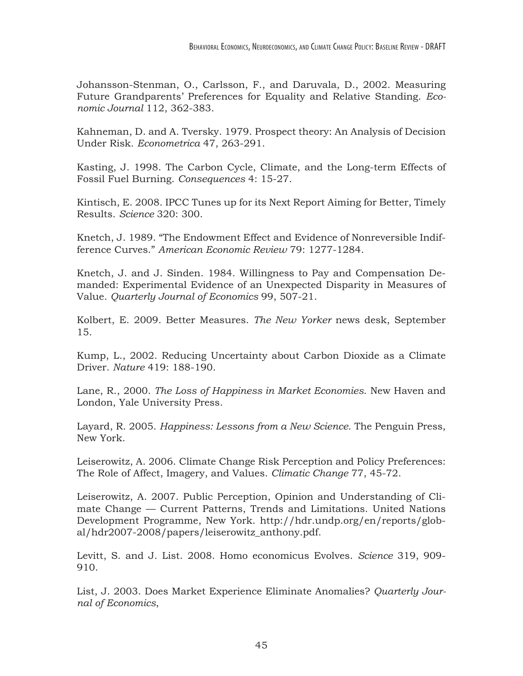Johansson-Stenman, O., Carlsson, F., and Daruvala, D., 2002. Measuring Future Grandparents' Preferences for Equality and Relative Standing. *Economic Journal* 112, 362-383.

Kahneman, D. and A. Tversky. 1979. Prospect theory: An Analysis of Decision Under Risk. *Econometrica* 47, 263-291.

Kasting, J. 1998. The Carbon Cycle, Climate, and the Long-term Effects of Fossil Fuel Burning. *Consequences* 4: 15-27.

Kintisch, E. 2008. IPCC Tunes up for its Next Report Aiming for Better, Timely Results. *Science* 320: 300.

Knetch, J. 1989. "The Endowment Effect and Evidence of Nonreversible Indifference Curves." *American Economic Review* 79: 1277-1284.

Knetch, J. and J. Sinden. 1984. Willingness to Pay and Compensation Demanded: Experimental Evidence of an Unexpected Disparity in Measures of Value. *Quarterly Journal of Economics* 99, 507-21.

Kolbert, E. 2009. Better Measures. *The New Yorker* news desk, September 15.

Kump, L., 2002. Reducing Uncertainty about Carbon Dioxide as a Climate Driver. *Nature* 419: 188-190.

Lane, R., 2000. *The Loss of Happiness in Market Economies*. New Haven and London, Yale University Press.

Layard, R. 2005. *Happiness: Lessons from a New Science*. The Penguin Press, New York.

Leiserowitz, A. 2006. Climate Change Risk Perception and Policy Preferences: The Role of Affect, Imagery, and Values. *Climatic Change* 77, 45-72.

Leiserowitz, A. 2007. Public Perception, Opinion and Understanding of Climate Change — Current Patterns, Trends and Limitations. United Nations Development Programme, New York. http://hdr.undp.org/en/reports/global/hdr2007-2008/papers/leiserowitz\_anthony.pdf.

Levitt, S. and J. List. 2008. Homo economicus Evolves. *Science* 319, 909- 910.

List, J. 2003. Does Market Experience Eliminate Anomalies? *Quarterly Journal of Economics*,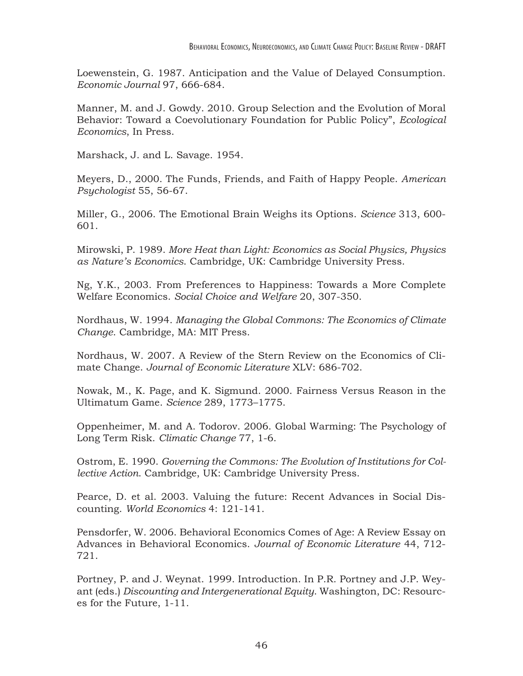Loewenstein, G. 1987. Anticipation and the Value of Delayed Consumption. *Economic Journal* 97, 666-684.

Manner, M. and J. Gowdy. 2010. Group Selection and the Evolution of Moral Behavior: Toward a Coevolutionary Foundation for Public Policy", *Ecological Economics*, In Press.

Marshack, J. and L. Savage. 1954.

Meyers, D., 2000. The Funds, Friends, and Faith of Happy People. *American Psychologist* 55, 56-67.

Miller, G., 2006. The Emotional Brain Weighs its Options. *Science* 313, 600- 601.

Mirowski, P. 1989. *More Heat than Light: Economics as Social Physics, Physics as Nature's Economics*. Cambridge, UK: Cambridge University Press.

Ng, Y.K., 2003. From Preferences to Happiness: Towards a More Complete Welfare Economics. *Social Choice and Welfare* 20, 307-350.

Nordhaus, W. 1994. *Managing the Global Commons: The Economics of Climate Change*. Cambridge, MA: MIT Press.

Nordhaus, W. 2007. A Review of the Stern Review on the Economics of Climate Change. *Journal of Economic Literature* XLV: 686-702.

Nowak, M., K. Page, and K. Sigmund. 2000. Fairness Versus Reason in the Ultimatum Game. *Science* 289, 1773–1775.

Oppenheimer, M. and A. Todorov. 2006. Global Warming: The Psychology of Long Term Risk. *Climatic Change* 77, 1-6.

Ostrom, E. 1990. *Governing the Commons: The Evolution of Institutions for Collective Action*. Cambridge, UK: Cambridge University Press.

Pearce, D. et al. 2003. Valuing the future: Recent Advances in Social Discounting. *World Economics* 4: 121-141.

Pensdorfer, W. 2006. Behavioral Economics Comes of Age: A Review Essay on Advances in Behavioral Economics. *Journal of Economic Literature* 44, 712- 721.

Portney, P. and J. Weynat. 1999. Introduction. In P.R. Portney and J.P. Weyant (eds.) *Discounting and Intergenerational Equity*. Washington, DC: Resources for the Future, 1-11.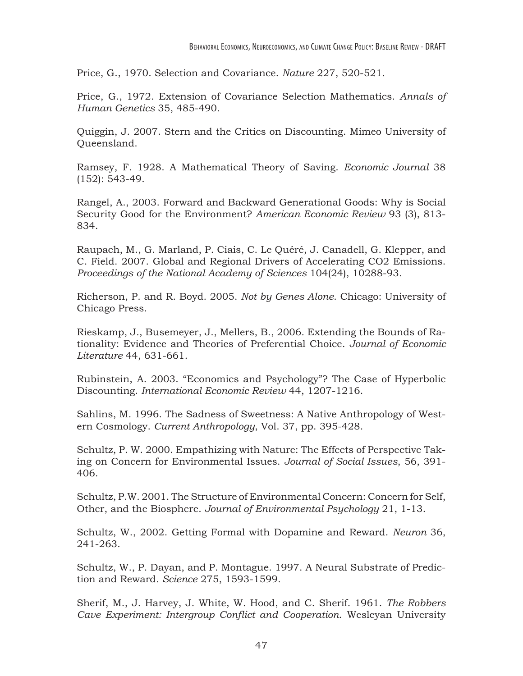Price, G., 1970. Selection and Covariance. *Nature* 227, 520-521.

Price, G., 1972. Extension of Covariance Selection Mathematics. *Annals of Human Genetics* 35, 485-490.

Quiggin, J. 2007. Stern and the Critics on Discounting. Mimeo University of Queensland.

Ramsey, F. 1928. A Mathematical Theory of Saving. *Economic Journal* 38 (152): 543-49.

Rangel, A., 2003. Forward and Backward Generational Goods: Why is Social Security Good for the Environment? *American Economic Review* 93 (3), 813- 834.

Raupach, M., G. Marland, P. Ciais, C. Le Quéré, J. Canadell, G. Klepper, and C. Field. 2007. Global and Regional Drivers of Accelerating CO2 Emissions. *Proceedings of the National Academy of Sciences* 104(24), 10288-93.

Richerson, P. and R. Boyd. 2005. *Not by Genes Alone*. Chicago: University of Chicago Press.

Rieskamp, J., Busemeyer, J., Mellers, B., 2006. Extending the Bounds of Rationality: Evidence and Theories of Preferential Choice. *Journal of Economic Literature* 44, 631-661.

Rubinstein, A. 2003. "Economics and Psychology"? The Case of Hyperbolic Discounting. *International Economic Review* 44, 1207-1216.

Sahlins, M. 1996. The Sadness of Sweetness: A Native Anthropology of Western Cosmology. *Current Anthropology*, Vol. 37, pp. 395-428.

Schultz, P. W. 2000. Empathizing with Nature: The Effects of Perspective Taking on Concern for Environmental Issues. *Journal of Social Issues*, 56, 391- 406.

Schultz, P.W. 2001. The Structure of Environmental Concern: Concern for Self, Other, and the Biosphere. *Journal of Environmental Psychology* 21, 1-13.

Schultz, W., 2002. Getting Formal with Dopamine and Reward. *Neuron* 36, 241-263.

Schultz, W., P. Dayan, and P. Montague. 1997. A Neural Substrate of Prediction and Reward. *Science* 275, 1593-1599.

Sherif, M., J. Harvey, J. White, W. Hood, and C. Sherif. 1961. *The Robbers Cave Experiment: Intergroup Conflict and Cooperation.* Wesleyan University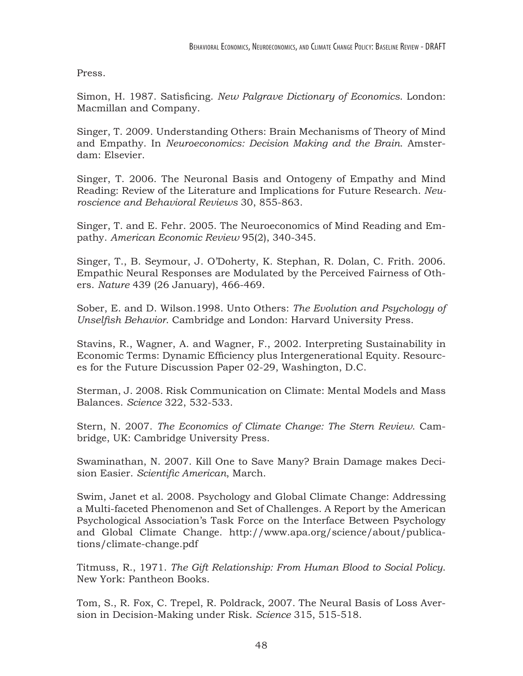Press.

Simon, H. 1987. Satisficing. *New Palgrave Dictionary of Economics*. London: Macmillan and Company.

Singer, T. 2009. Understanding Others: Brain Mechanisms of Theory of Mind and Empathy. In *Neuroeconomics: Decision Making and the Brain*. Amsterdam: Elsevier.

Singer, T. 2006. The Neuronal Basis and Ontogeny of Empathy and Mind Reading: Review of the Literature and Implications for Future Research. *Neuroscience and Behavioral Reviews* 30, 855-863.

Singer, T. and E. Fehr. 2005. The Neuroeconomics of Mind Reading and Empathy. *American Economic Review* 95(2), 340-345.

Singer, T., B. Seymour, J. O'Doherty, K. Stephan, R. Dolan, C. Frith. 2006. Empathic Neural Responses are Modulated by the Perceived Fairness of Others. *Nature* 439 (26 January), 466-469.

Sober, E. and D. Wilson.1998. Unto Others: *The Evolution and Psychology of Unselfish Behavior.* Cambridge and London: Harvard University Press.

Stavins, R., Wagner, A. and Wagner, F., 2002. Interpreting Sustainability in Economic Terms: Dynamic Efficiency plus Intergenerational Equity. Resources for the Future Discussion Paper 02-29, Washington, D.C.

Sterman, J. 2008. Risk Communication on Climate: Mental Models and Mass Balances. *Science* 322, 532-533.

Stern, N. 2007. *The Economics of Climate Change: The Stern Review*. Cambridge, UK: Cambridge University Press.

Swaminathan, N. 2007. Kill One to Save Many? Brain Damage makes Decision Easier. *Scientific American*, March.

Swim, Janet et al. 2008. Psychology and Global Climate Change: Addressing a Multi-faceted Phenomenon and Set of Challenges. A Report by the American Psychological Association's Task Force on the Interface Between Psychology and Global Climate Change. http://www.apa.org/science/about/publications/climate-change.pdf

Titmuss, R., 1971. *The Gift Relationship: From Human Blood to Social Policy*. New York: Pantheon Books.

Tom, S., R. Fox, C. Trepel, R. Poldrack, 2007. The Neural Basis of Loss Aversion in Decision-Making under Risk. *Science* 315, 515-518.